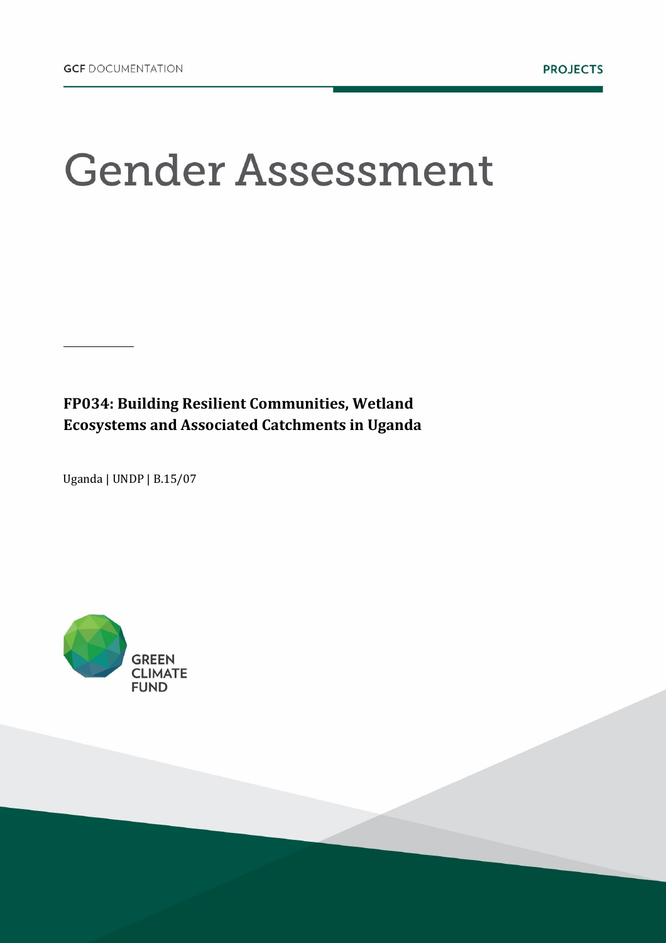# **Gender Assessment**

**FP034: Building Resilient Communities, Wetland Ecosystems and Associated Catchments in Uganda**

Uganda | UNDP | B.15/07

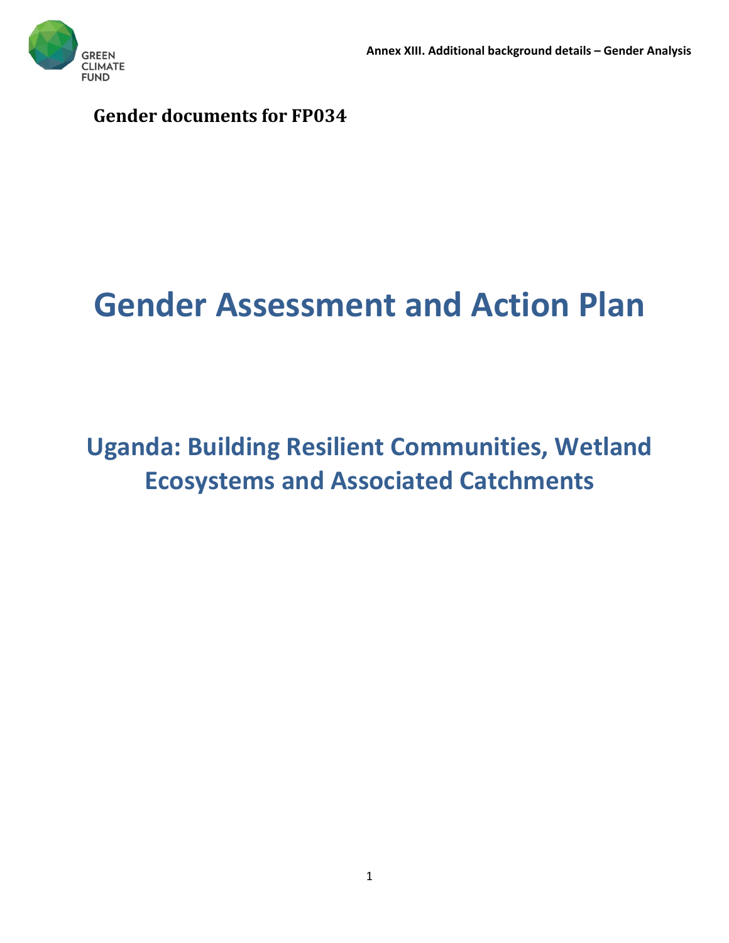**Gender documents for FP034**

# **Gender Assessment and Action Plan**

# **Uganda: Building Resilient Communities, Wetland Ecosystems and Associated Catchments**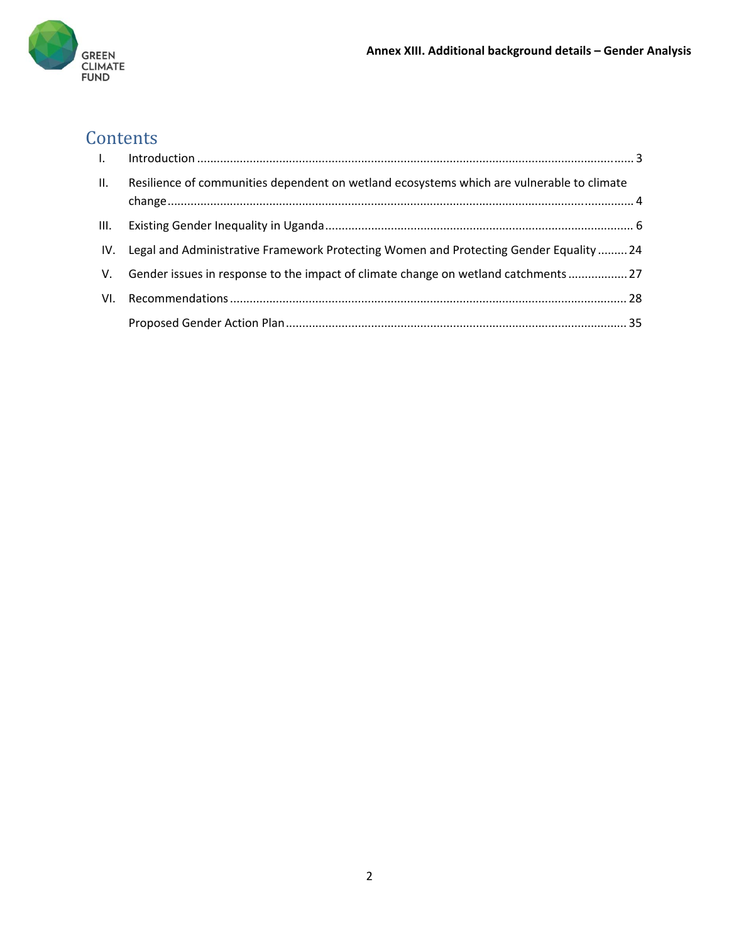

# **Contents**

| П.   | Resilience of communities dependent on wetland ecosystems which are vulnerable to climate  |  |
|------|--------------------------------------------------------------------------------------------|--|
|      |                                                                                            |  |
| III. |                                                                                            |  |
|      | IV. Legal and Administrative Framework Protecting Women and Protecting Gender Equality  24 |  |
|      | V. Gender issues in response to the impact of climate change on wetland catchments 27      |  |
| VI.  |                                                                                            |  |
|      |                                                                                            |  |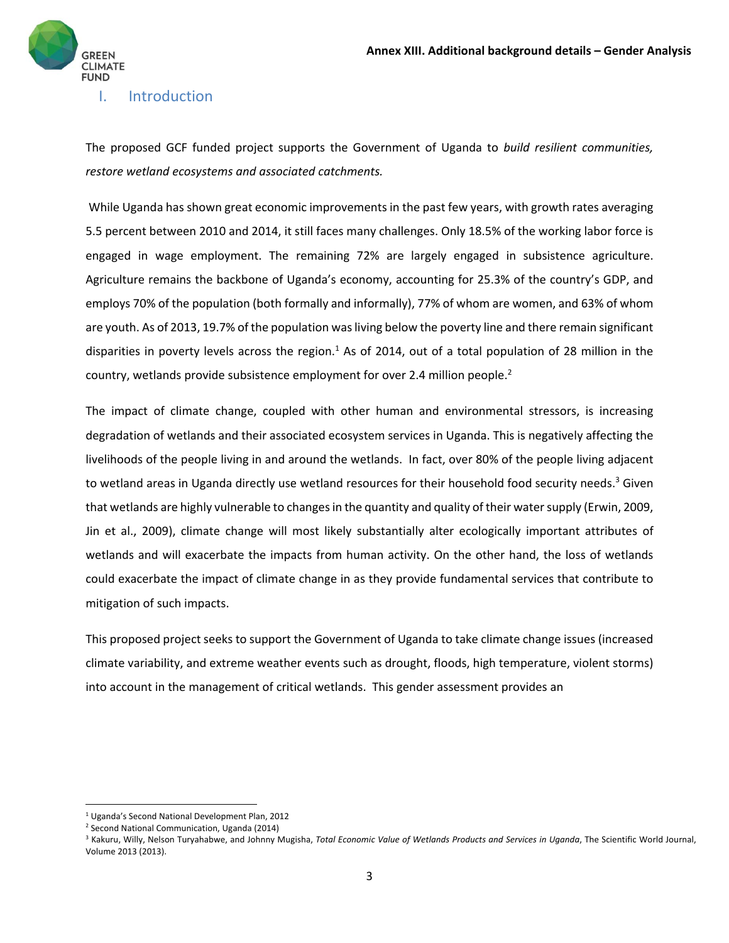

#### I. Introduction

The proposed GCF funded project supports the Government of Uganda to *build resilient communities, restore wetland ecosystems and associated catchments.* 

While Uganda has shown great economic improvements in the past few years, with growth rates averaging 5.5 percent between 2010 and 2014, it still faces many challenges. Only 18.5% of the working labor force is engaged in wage employment. The remaining 72% are largely engaged in subsistence agriculture. Agriculture remains the backbone of Uganda's economy, accounting for 25.3% of the country's GDP, and employs 70% of the population (both formally and informally), 77% of whom are women, and 63% of whom are youth. As of 2013, 19.7% of the population wasliving below the poverty line and there remain significant disparities in poverty levels across the region.<sup>1</sup> As of 2014, out of a total population of 28 million in the country, wetlands provide subsistence employment for over 2.4 million people.<sup>2</sup>

The impact of climate change, coupled with other human and environmental stressors, is increasing degradation of wetlands and their associated ecosystem services in Uganda. This is negatively affecting the livelihoods of the people living in and around the wetlands. In fact, over 80% of the people living adjacent to wetland areas in Uganda directly use wetland resources for their household food security needs.<sup>3</sup> Given that wetlands are highly vulnerable to changes in the quantity and quality of their water supply (Erwin, 2009, Jin et al., 2009), climate change will most likely substantially alter ecologically important attributes of wetlands and will exacerbate the impacts from human activity. On the other hand, the loss of wetlands could exacerbate the impact of climate change in as they provide fundamental services that contribute to mitigation of such impacts.

This proposed project seeks to support the Government of Uganda to take climate change issues (increased climate variability, and extreme weather events such as drought, floods, high temperature, violent storms) into account in the management of critical wetlands. This gender assessment provides an

<sup>1</sup> Uganda's Second National Development Plan, 2012

<sup>2</sup> Second National Communication, Uganda (2014)

<sup>3</sup> Kakuru, Willy, Nelson Turyahabwe, and Johnny Mugisha, *Total Economic Value of Wetlands Products and Services in Uganda*, The Scientific World Journal, Volume 2013 (2013).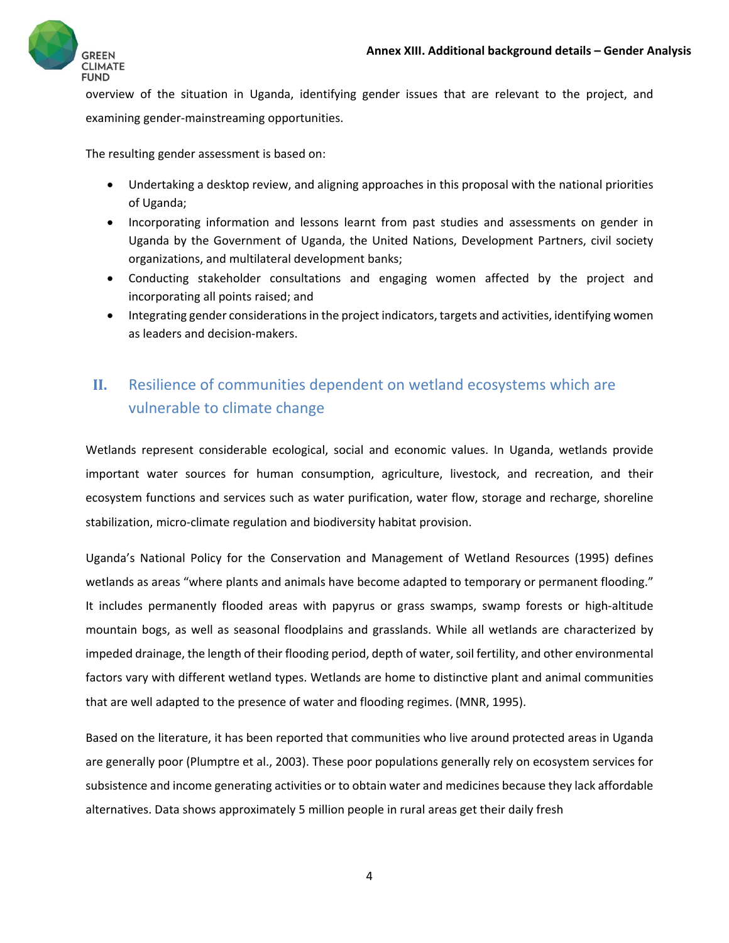

overview of the situation in Uganda, identifying gender issues that are relevant to the project, and examining gender‐mainstreaming opportunities.

The resulting gender assessment is based on:

- Undertaking a desktop review, and aligning approaches in this proposal with the national priorities of Uganda;
- Incorporating information and lessons learnt from past studies and assessments on gender in Uganda by the Government of Uganda, the United Nations, Development Partners, civil society organizations, and multilateral development banks;
- Conducting stakeholder consultations and engaging women affected by the project and incorporating all points raised; and
- Integrating gender considerations in the project indicators, targets and activities, identifying women as leaders and decision‐makers.

# **II.** Resilience of communities dependent on wetland ecosystems which are vulnerable to climate change

Wetlands represent considerable ecological, social and economic values. In Uganda, wetlands provide important water sources for human consumption, agriculture, livestock, and recreation, and their ecosystem functions and services such as water purification, water flow, storage and recharge, shoreline stabilization, micro-climate regulation and biodiversity habitat provision.

Uganda's National Policy for the Conservation and Management of Wetland Resources (1995) defines wetlands as areas "where plants and animals have become adapted to temporary or permanent flooding." It includes permanently flooded areas with papyrus or grass swamps, swamp forests or high‐altitude mountain bogs, as well as seasonal floodplains and grasslands. While all wetlands are characterized by impeded drainage, the length of their flooding period, depth of water, soil fertility, and other environmental factors vary with different wetland types. Wetlands are home to distinctive plant and animal communities that are well adapted to the presence of water and flooding regimes. (MNR, 1995).

Based on the literature, it has been reported that communities who live around protected areas in Uganda are generally poor (Plumptre et al., 2003). These poor populations generally rely on ecosystem services for subsistence and income generating activities or to obtain water and medicines because they lack affordable alternatives. Data shows approximately 5 million people in rural areas get their daily fresh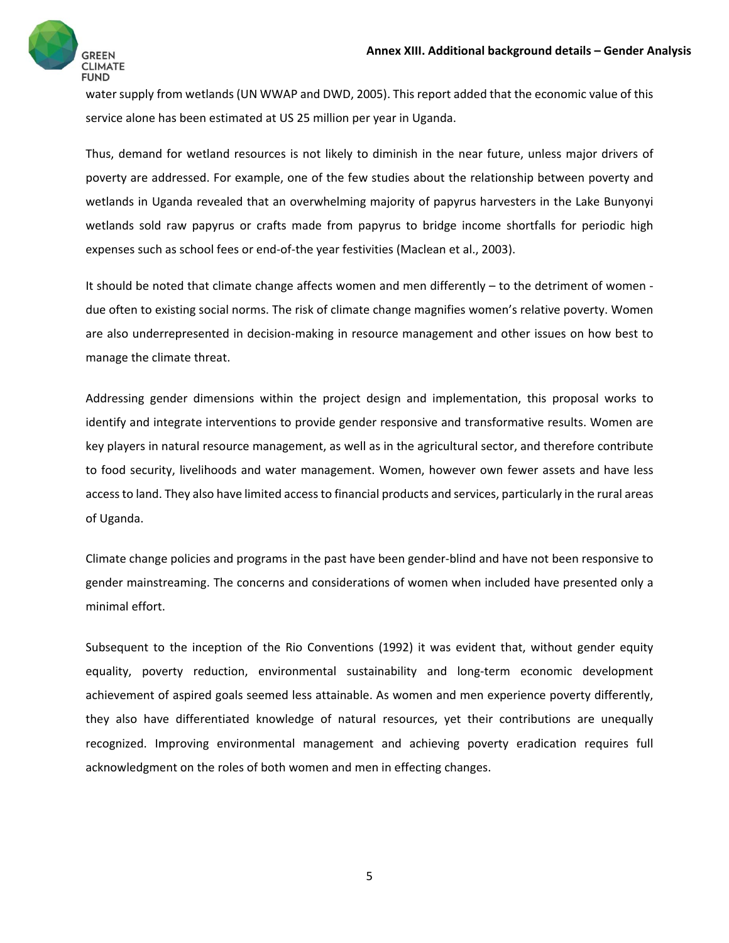

water supply from wetlands (UN WWAP and DWD, 2005). This report added that the economic value of this service alone has been estimated at US 25 million per year in Uganda.

Thus, demand for wetland resources is not likely to diminish in the near future, unless major drivers of poverty are addressed. For example, one of the few studies about the relationship between poverty and wetlands in Uganda revealed that an overwhelming majority of papyrus harvesters in the Lake Bunyonyi wetlands sold raw papyrus or crafts made from papyrus to bridge income shortfalls for periodic high expenses such as school fees or end-of-the year festivities (Maclean et al., 2003).

It should be noted that climate change affects women and men differently – to the detriment of women ‐ due often to existing social norms. The risk of climate change magnifies women's relative poverty. Women are also underrepresented in decision‐making in resource management and other issues on how best to manage the climate threat.

Addressing gender dimensions within the project design and implementation, this proposal works to identify and integrate interventions to provide gender responsive and transformative results. Women are key players in natural resource management, as well as in the agricultural sector, and therefore contribute to food security, livelihoods and water management. Women, however own fewer assets and have less accessto land. They also have limited accessto financial products and services, particularly in the rural areas of Uganda.

Climate change policies and programs in the past have been gender‐blind and have not been responsive to gender mainstreaming. The concerns and considerations of women when included have presented only a minimal effort.

Subsequent to the inception of the Rio Conventions (1992) it was evident that, without gender equity equality, poverty reduction, environmental sustainability and long-term economic development achievement of aspired goals seemed less attainable. As women and men experience poverty differently, they also have differentiated knowledge of natural resources, yet their contributions are unequally recognized. Improving environmental management and achieving poverty eradication requires full acknowledgment on the roles of both women and men in effecting changes.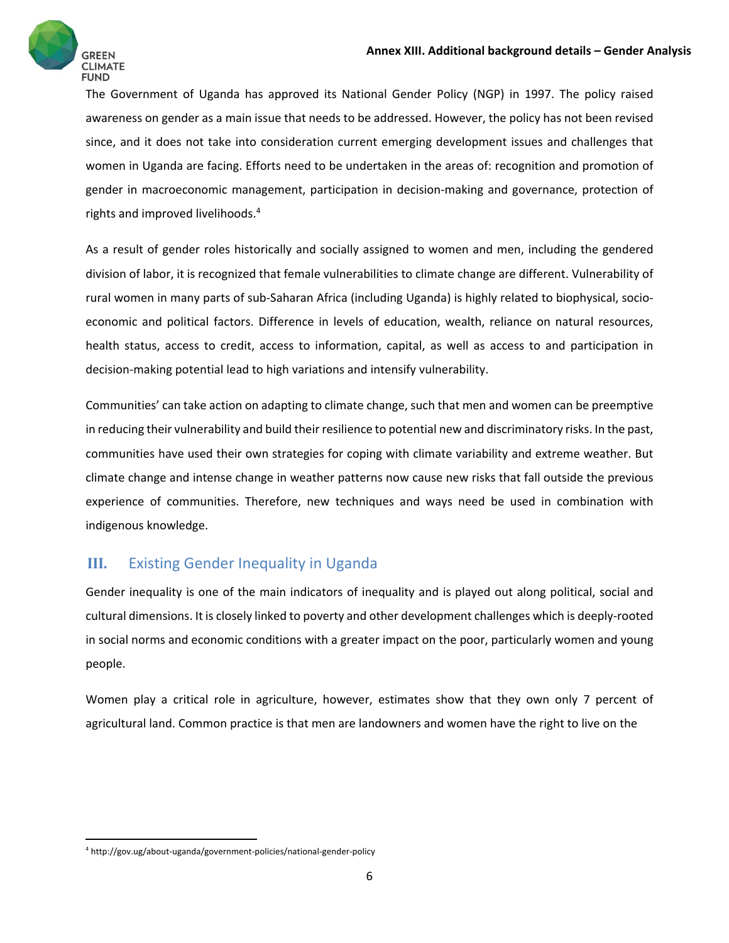

The Government of Uganda has approved its National Gender Policy (NGP) in 1997. The policy raised awareness on gender as a main issue that needs to be addressed. However, the policy has not been revised since, and it does not take into consideration current emerging development issues and challenges that women in Uganda are facing. Efforts need to be undertaken in the areas of: recognition and promotion of gender in macroeconomic management, participation in decision‐making and governance, protection of rights and improved livelihoods.4

As a result of gender roles historically and socially assigned to women and men, including the gendered division of labor, it is recognized that female vulnerabilities to climate change are different. Vulnerability of rural women in many parts of sub‐Saharan Africa (including Uganda) is highly related to biophysical, socio‐ economic and political factors. Difference in levels of education, wealth, reliance on natural resources, health status, access to credit, access to information, capital, as well as access to and participation in decision‐making potential lead to high variations and intensify vulnerability.

Communities' can take action on adapting to climate change, such that men and women can be preemptive in reducing their vulnerability and build their resilience to potential new and discriminatory risks. In the past, communities have used their own strategies for coping with climate variability and extreme weather. But climate change and intense change in weather patterns now cause new risks that fall outside the previous experience of communities. Therefore, new techniques and ways need be used in combination with indigenous knowledge.

# **III.** Existing Gender Inequality in Uganda

Gender inequality is one of the main indicators of inequality and is played out along political, social and cultural dimensions. It is closely linked to poverty and other development challenges which is deeply‐rooted in social norms and economic conditions with a greater impact on the poor, particularly women and young people.

Women play a critical role in agriculture, however, estimates show that they own only 7 percent of agricultural land. Common practice is that men are landowners and women have the right to live on the

<sup>4</sup> http://gov.ug/about‐uganda/government‐policies/national‐gender‐policy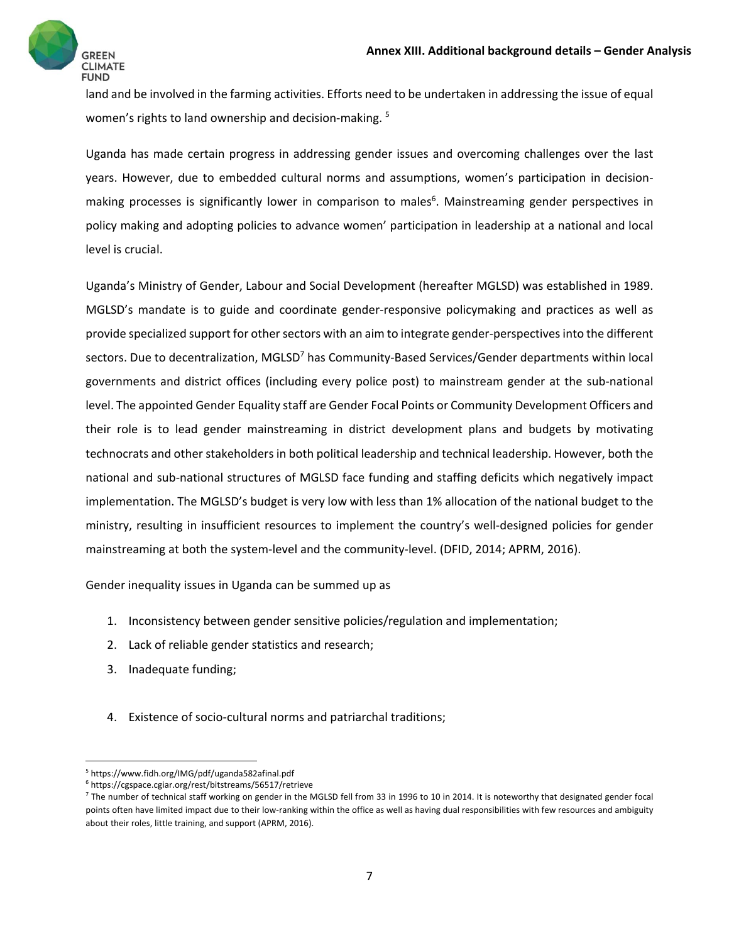

land and be involved in the farming activities. Efforts need to be undertaken in addressing the issue of equal women's rights to land ownership and decision-making.<sup>5</sup>

Uganda has made certain progress in addressing gender issues and overcoming challenges over the last years. However, due to embedded cultural norms and assumptions, women's participation in decision‐ making processes is significantly lower in comparison to males<sup>6</sup>. Mainstreaming gender perspectives in policy making and adopting policies to advance women' participation in leadership at a national and local level is crucial.

Uganda's Ministry of Gender, Labour and Social Development (hereafter MGLSD) was established in 1989. MGLSD's mandate is to guide and coordinate gender‐responsive policymaking and practices as well as provide specialized support for other sectors with an aim to integrate gender-perspectives into the different sectors. Due to decentralization, MGLSD<sup>7</sup> has Community-Based Services/Gender departments within local governments and district offices (including every police post) to mainstream gender at the sub‐national level. The appointed Gender Equality staff are Gender Focal Points or Community Development Officers and their role is to lead gender mainstreaming in district development plans and budgets by motivating technocrats and other stakeholders in both political leadership and technical leadership. However, both the national and sub‐national structures of MGLSD face funding and staffing deficits which negatively impact implementation. The MGLSD's budget is very low with less than 1% allocation of the national budget to the ministry, resulting in insufficient resources to implement the country's well-designed policies for gender mainstreaming at both the system-level and the community-level. (DFID, 2014; APRM, 2016).

Gender inequality issues in Uganda can be summed up as

- 1. Inconsistency between gender sensitive policies/regulation and implementation;
- 2. Lack of reliable gender statistics and research;
- 3. Inadequate funding;

4. Existence of socio-cultural norms and patriarchal traditions;

<sup>5</sup> https://www.fidh.org/IMG/pdf/uganda582afinal.pdf

<sup>6</sup> https://cgspace.cgiar.org/rest/bitstreams/56517/retrieve

 $^7$  The number of technical staff working on gender in the MGLSD fell from 33 in 1996 to 10 in 2014. It is noteworthy that designated gender focal points often have limited impact due to their low-ranking within the office as well as having dual responsibilities with few resources and ambiguity about their roles, little training, and support (APRM, 2016).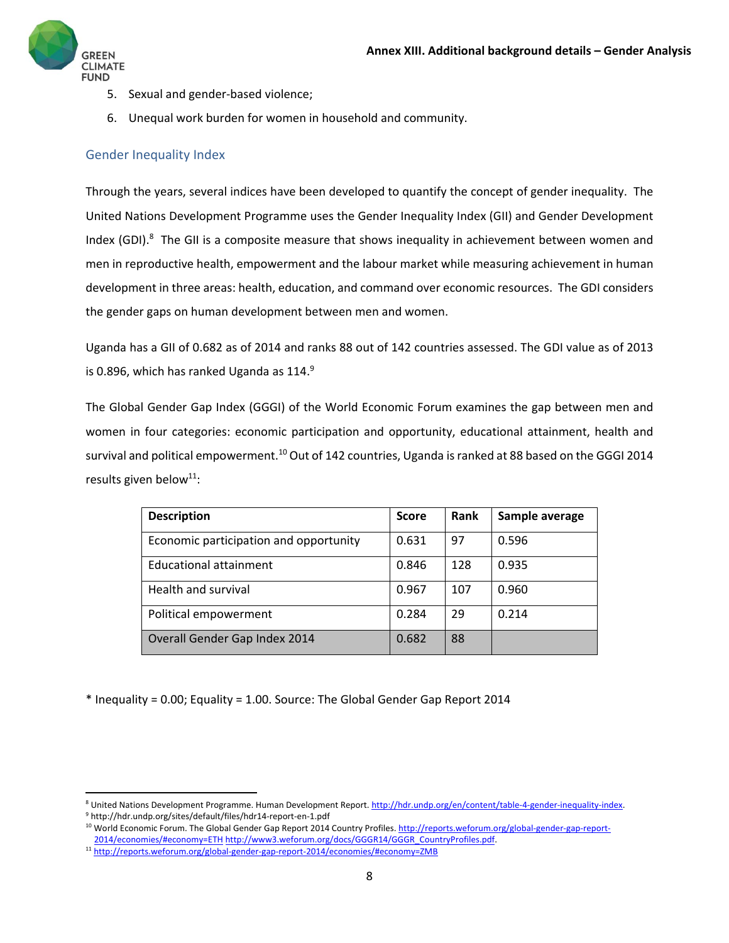

- 5. Sexual and gender-based violence;
- 6. Unequal work burden for women in household and community.

#### Gender Inequality Index

Through the years, several indices have been developed to quantify the concept of gender inequality. The United Nations Development Programme uses the Gender Inequality Index (GII) and Gender Development Index (GDI).<sup>8</sup> The GII is a composite measure that shows inequality in achievement between women and men in reproductive health, empowerment and the labour market while measuring achievement in human development in three areas: health, education, and command over economic resources. The GDI considers the gender gaps on human development between men and women.

Uganda has a GII of 0.682 as of 2014 and ranks 88 out of 142 countries assessed. The GDI value as of 2013 is 0.896, which has ranked Uganda as  $114.<sup>9</sup>$ 

The Global Gender Gap Index (GGGI) of the World Economic Forum examines the gap between men and women in four categories: economic participation and opportunity, educational attainment, health and survival and political empowerment.<sup>10</sup> Out of 142 countries, Uganda is ranked at 88 based on the GGGI 2014 results given below<sup>11</sup>:

| <b>Description</b>                     | <b>Score</b> | Rank | Sample average |
|----------------------------------------|--------------|------|----------------|
| Economic participation and opportunity | 0.631        | 97   | 0.596          |
| Educational attainment                 | 0.846        | 128  | 0.935          |
| Health and survival                    | 0.967        | 107  | 0.960          |
| Political empowerment                  | 0.284        | 29   | 0.214          |
| Overall Gender Gap Index 2014          | 0.682        | 88   |                |

\* Inequality = 0.00; Equality = 1.00. Source: The Global Gender Gap Report 2014

<sup>8</sup> United Nations Development Programme. Human Development Report. http://hdr.undp.org/en/content/table‐4‐gender‐inequality‐index. <sup>9</sup> http://hdr.undp.org/sites/default/files/hdr14‐report‐en‐1.pdf

<sup>&</sup>lt;sup>10</sup> World Economic Forum. The Global Gender Gap Report 2014 Country Profiles. http://reports.weforum.org/global-gender-gap-report-2014/economies/#economy=ETH http://www3.weforum.org/docs/GGGR14/GGGR\_CountryProfiles.pdf.

<sup>11</sup> http://reports.weforum.org/global‐gender‐gap‐report‐2014/economies/#economy=ZMB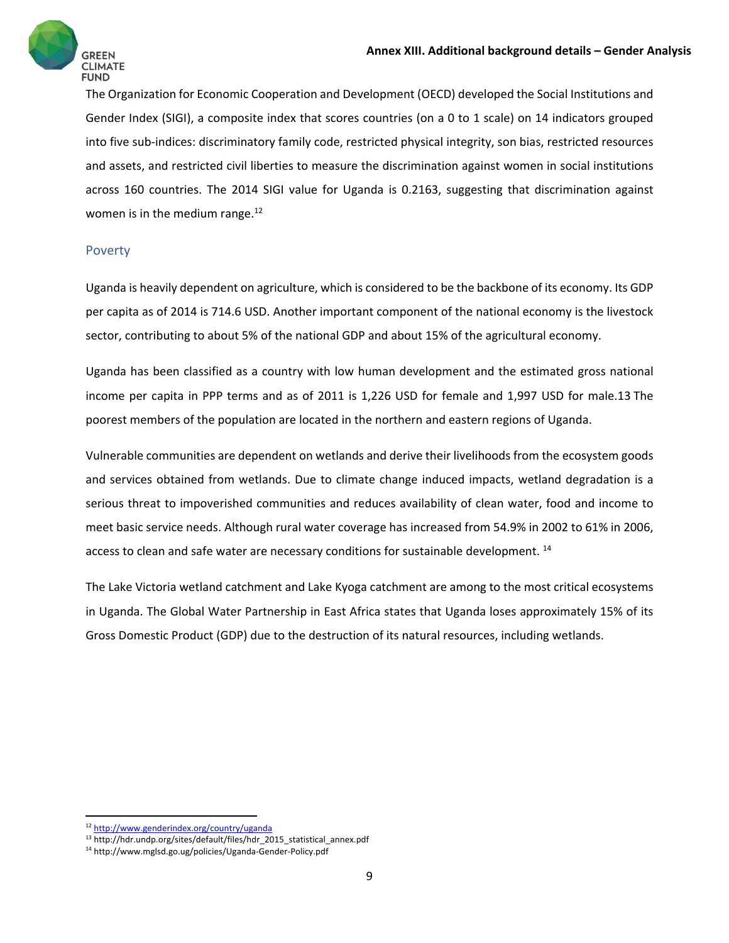The Organization for Economic Cooperation and Development (OECD) developed the Social Institutions and Gender Index (SIGI), a composite index that scores countries (on a 0 to 1 scale) on 14 indicators grouped into five sub-indices: discriminatory family code, restricted physical integrity, son bias, restricted resources and assets, and restricted civil liberties to measure the discrimination against women in social institutions across 160 countries. The 2014 SIGI value for Uganda is 0.2163, suggesting that discrimination against women is in the medium range.<sup>12</sup>

#### Poverty

Uganda is heavily dependent on agriculture, which is considered to be the backbone of its economy. Its GDP per capita as of 2014 is 714.6 USD. Another important component of the national economy is the livestock sector, contributing to about 5% of the national GDP and about 15% of the agricultural economy.

Uganda has been classified as a country with low human development and the estimated gross national income per capita in PPP terms and as of 2011 is 1,226 USD for female and 1,997 USD for male.13 The poorest members of the population are located in the northern and eastern regions of Uganda.

Vulnerable communities are dependent on wetlands and derive their livelihoods from the ecosystem goods and services obtained from wetlands. Due to climate change induced impacts, wetland degradation is a serious threat to impoverished communities and reduces availability of clean water, food and income to meet basic service needs. Although rural water coverage has increased from 54.9% in 2002 to 61% in 2006, access to clean and safe water are necessary conditions for sustainable development. <sup>14</sup>

The Lake Victoria wetland catchment and Lake Kyoga catchment are among to the most critical ecosystems in Uganda. The Global Water Partnership in East Africa states that Uganda loses approximately 15% of its Gross Domestic Product (GDP) due to the destruction of its natural resources, including wetlands.

 <sup>12</sup> http://www.genderindex.org/country/uganda

<sup>&</sup>lt;sup>13</sup> http://hdr.undp.org/sites/default/files/hdr\_2015\_statistical\_annex.pdf

<sup>14</sup> http://www.mglsd.go.ug/policies/Uganda‐Gender‐Policy.pdf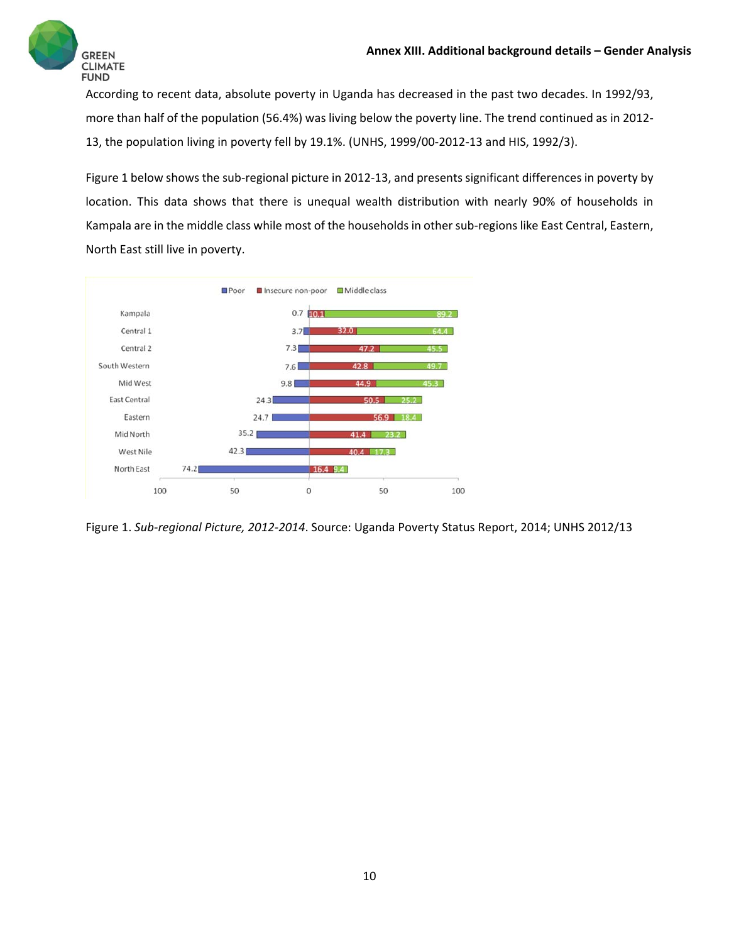

According to recent data, absolute poverty in Uganda has decreased in the past two decades. In 1992/93, more than half of the population (56.4%) was living below the poverty line. The trend continued as in 2012-13, the population living in poverty fell by 19.1%. (UNHS, 1999/00‐2012‐13 and HIS, 1992/3).

Figure 1 below shows the sub‐regional picture in 2012‐13, and presents significant differences in poverty by location. This data shows that there is unequal wealth distribution with nearly 90% of households in Kampala are in the middle class while most of the households in other sub-regions like East Central, Eastern, North East still live in poverty.



Figure 1. *Sub‐regional Picture, 2012‐2014*. Source: Uganda Poverty Status Report, 2014; UNHS 2012/13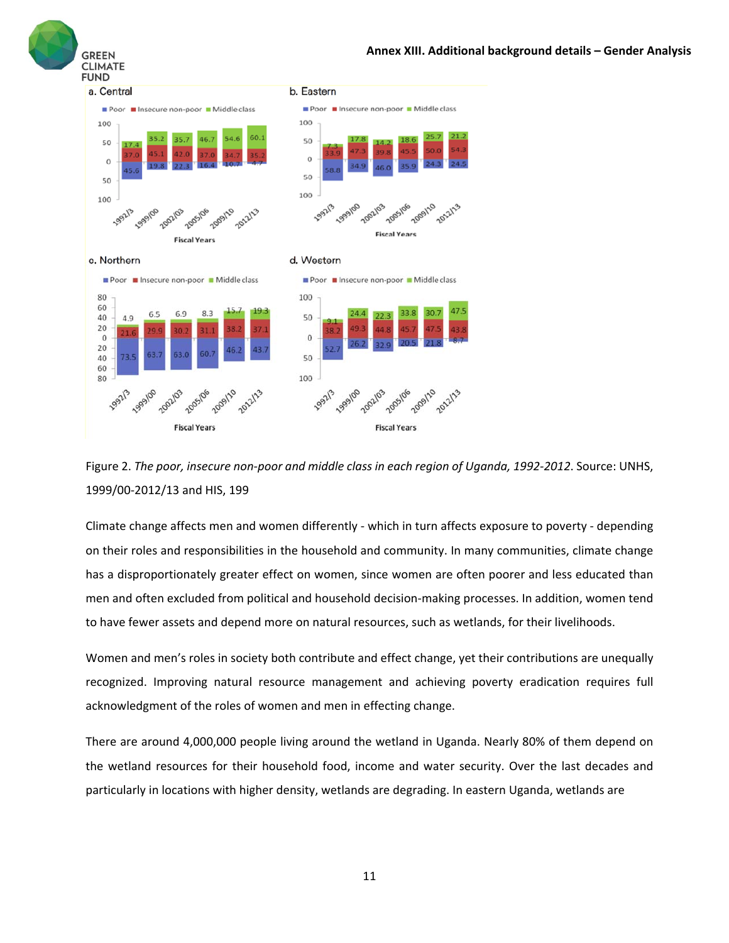





Climate change affects men and women differently ‐ which in turn affects exposure to poverty ‐ depending on their roles and responsibilities in the household and community. In many communities, climate change has a disproportionately greater effect on women, since women are often poorer and less educated than men and often excluded from political and household decision-making processes. In addition, women tend to have fewer assets and depend more on natural resources, such as wetlands, for their livelihoods.

Women and men's roles in society both contribute and effect change, yet their contributions are unequally recognized. Improving natural resource management and achieving poverty eradication requires full acknowledgment of the roles of women and men in effecting change.

There are around 4,000,000 people living around the wetland in Uganda. Nearly 80% of them depend on the wetland resources for their household food, income and water security. Over the last decades and particularly in locations with higher density, wetlands are degrading. In eastern Uganda, wetlands are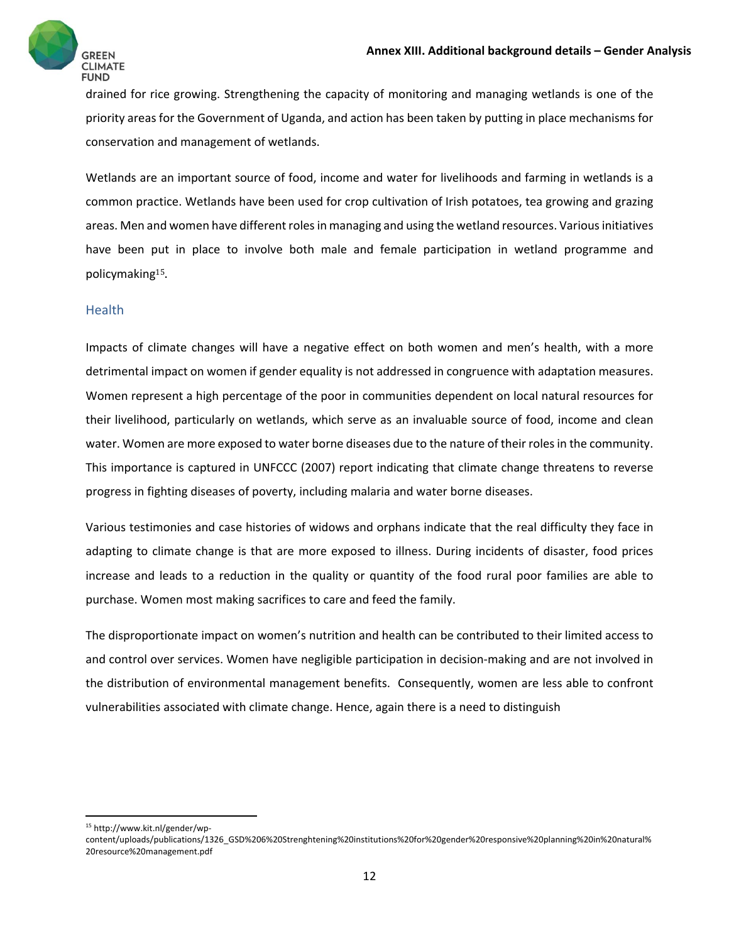

drained for rice growing. Strengthening the capacity of monitoring and managing wetlands is one of the priority areas for the Government of Uganda, and action has been taken by putting in place mechanisms for conservation and management of wetlands. 

Wetlands are an important source of food, income and water for livelihoods and farming in wetlands is a common practice. Wetlands have been used for crop cultivation of Irish potatoes, tea growing and grazing areas. Men and women have different roles in managing and using the wetland resources. Various initiatives have been put in place to involve both male and female participation in wetland programme and policymaking15. 

#### **Health**

Impacts of climate changes will have a negative effect on both women and men's health, with a more detrimental impact on women if gender equality is not addressed in congruence with adaptation measures. Women represent a high percentage of the poor in communities dependent on local natural resources for their livelihood, particularly on wetlands, which serve as an invaluable source of food, income and clean water. Women are more exposed to water borne diseases due to the nature of their rolesin the community. This importance is captured in UNFCCC (2007) report indicating that climate change threatens to reverse progress in fighting diseases of poverty, including malaria and water borne diseases.

Various testimonies and case histories of widows and orphans indicate that the real difficulty they face in adapting to climate change is that are more exposed to illness. During incidents of disaster, food prices increase and leads to a reduction in the quality or quantity of the food rural poor families are able to purchase. Women most making sacrifices to care and feed the family.

The disproportionate impact on women's nutrition and health can be contributed to their limited access to and control over services. Women have negligible participation in decision-making and are not involved in the distribution of environmental management benefits. Consequently, women are less able to confront vulnerabilities associated with climate change. Hence, again there is a need to distinguish

<sup>15</sup> http://www.kit.nl/gender/wp‐

content/uploads/publications/1326\_GSD%206%20Strenghtening%20institutions%20for%20gender%20responsive%20planning%20in%20natural% 20resource%20management.pdf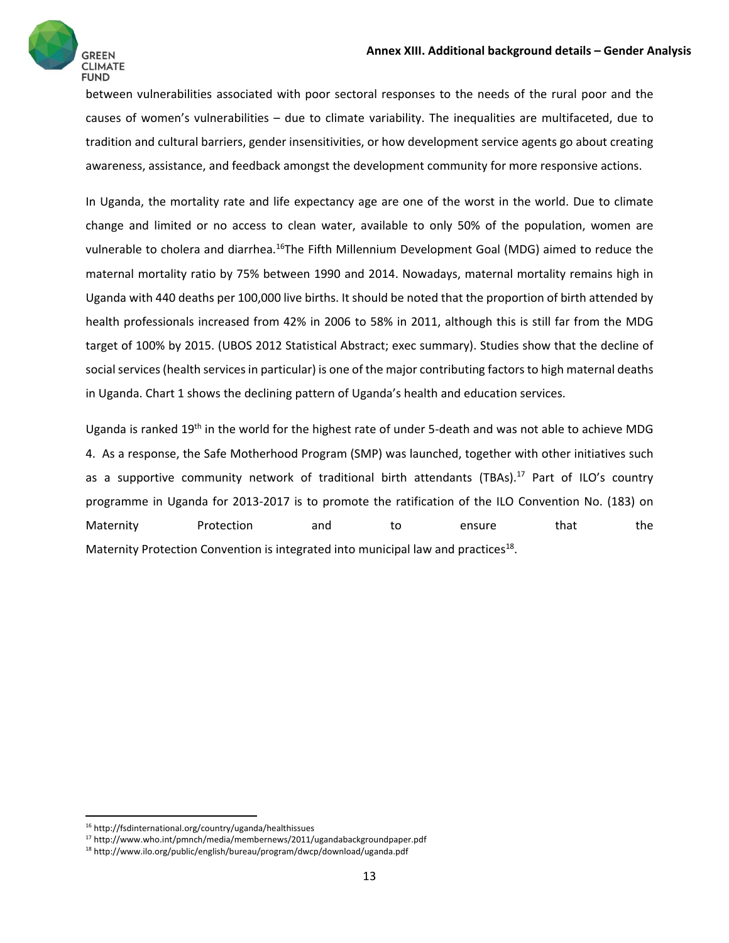

between vulnerabilities associated with poor sectoral responses to the needs of the rural poor and the causes of women's vulnerabilities – due to climate variability. The inequalities are multifaceted, due to tradition and cultural barriers, gender insensitivities, or how development service agents go about creating awareness, assistance, and feedback amongst the development community for more responsive actions.

In Uganda, the mortality rate and life expectancy age are one of the worst in the world. Due to climate change and limited or no access to clean water, available to only 50% of the population, women are vulnerable to cholera and diarrhea.<sup>16</sup>The Fifth Millennium Development Goal (MDG) aimed to reduce the maternal mortality ratio by 75% between 1990 and 2014. Nowadays, maternal mortality remains high in Uganda with 440 deaths per 100,000 live births. It should be noted that the proportion of birth attended by health professionals increased from 42% in 2006 to 58% in 2011, although this is still far from the MDG target of 100% by 2015. (UBOS 2012 Statistical Abstract; exec summary). Studies show that the decline of social services (health services in particular) is one of the major contributing factors to high maternal deaths in Uganda. Chart 1 shows the declining pattern of Uganda's health and education services.

Uganda is ranked 19<sup>th</sup> in the world for the highest rate of under 5-death and was not able to achieve MDG 4. As a response, the Safe Motherhood Program (SMP) was launched, together with other initiatives such as a supportive community network of traditional birth attendants (TBAs).<sup>17</sup> Part of ILO's country programme in Uganda for 2013‐2017 is to promote the ratification of the ILO Convention No. (183) on Maternity Protection and to ensure that the Maternity Protection Convention is integrated into municipal law and practices<sup>18</sup>.

 <sup>16</sup> http://fsdinternational.org/country/uganda/healthissues

<sup>17</sup> http://www.who.int/pmnch/media/membernews/2011/ugandabackgroundpaper.pdf

<sup>18</sup> http://www.ilo.org/public/english/bureau/program/dwcp/download/uganda.pdf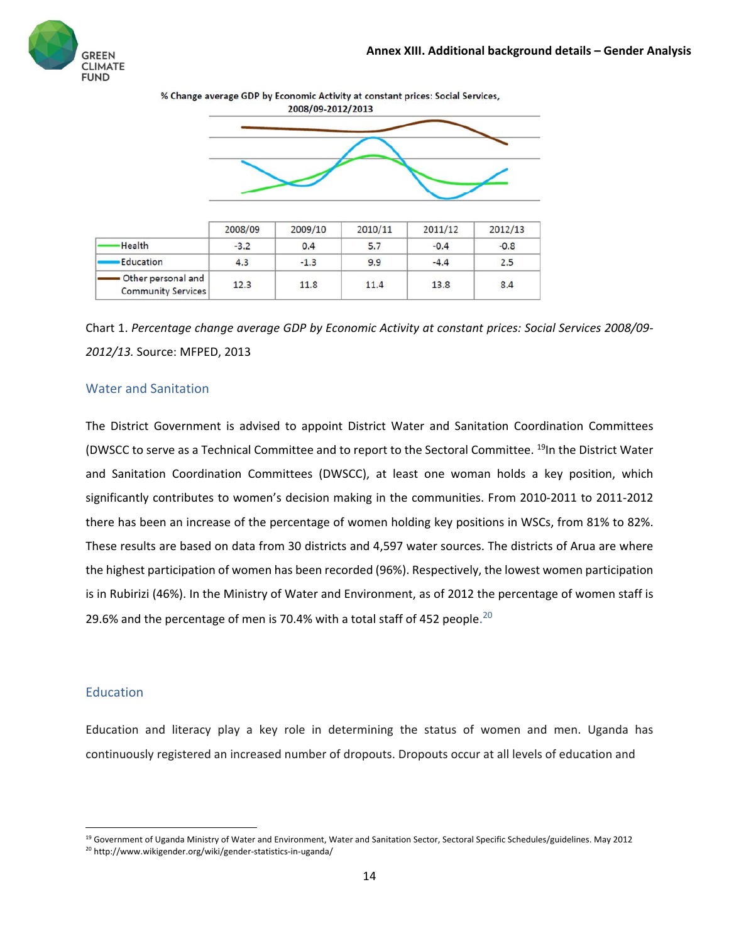



|                                                 | 2008/09 | 2009/10 | 2010/11 | 2011/12 | 2012/13 |
|-------------------------------------------------|---------|---------|---------|---------|---------|
| <b>Health</b>                                   | $-3.2$  | 0.4     | 5.7     | $-0.4$  | $-0.8$  |
| Education                                       | 4.3     | $-1.3$  | 9.9     | $-4.4$  | 2.5     |
| Other personal and<br><b>Community Services</b> | 12.3    | 11.8    | 11.4    | 13.8    | 8.4     |

Chart 1. *Percentage change average GDP by Economic Activity at constant prices: Social Services 2008/09‐ 2012/13.* Source: MFPED, 2013

#### Water and Sanitation

The District Government is advised to appoint District Water and Sanitation Coordination Committees (DWSCC to serve as a Technical Committee and to report to the Sectoral Committee. <sup>19</sup>In the District Water and Sanitation Coordination Committees (DWSCC), at least one woman holds a key position, which significantly contributes to women's decision making in the communities. From 2010‐2011 to 2011‐2012 there has been an increase of the percentage of women holding key positions in WSCs, from 81% to 82%. These results are based on data from 30 districts and 4,597 water sources. The districts of Arua are where the highest participation of women has been recorded (96%). Respectively, the lowest women participation is in Rubirizi (46%). In the Ministry of Water and Environment, as of 2012 the percentage of women staff is 29.6% and the percentage of men is 70.4% with a total staff of 452 people.<sup>20</sup>

#### Education

Education and literacy play a key role in determining the status of women and men. Uganda has continuously registered an increased number of dropouts. Dropouts occur at all levels of education and

<sup>&</sup>lt;sup>19</sup> Government of Uganda Ministry of Water and Environment, Water and Sanitation Sector, Sectoral Specific Schedules/guidelines. May 2012 <sup>20</sup> http://www.wikigender.org/wiki/gender-statistics-in-uganda/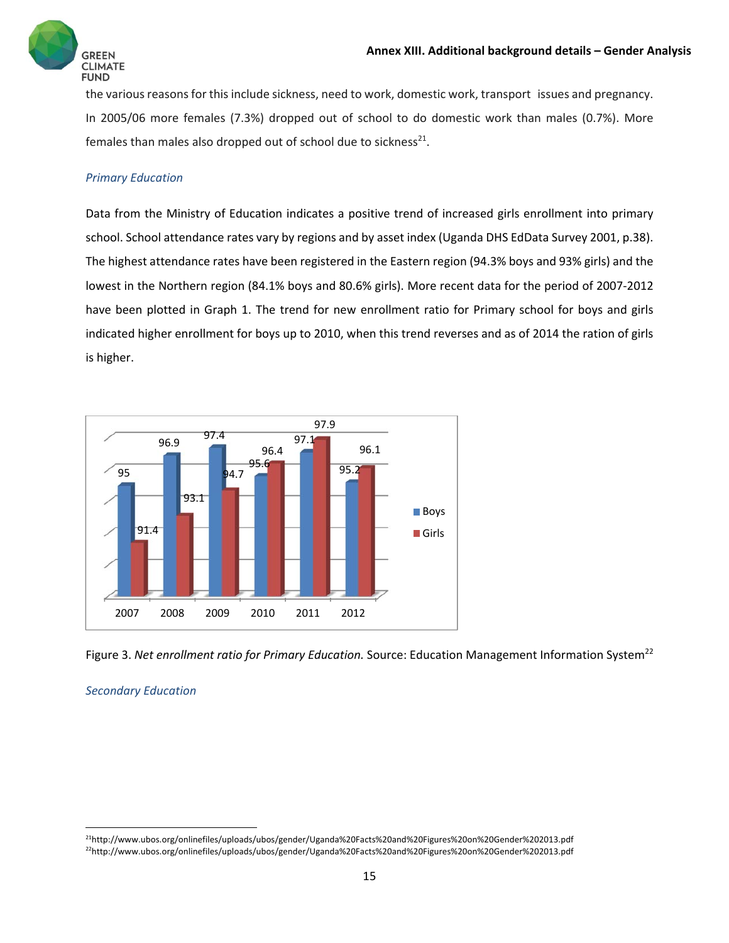

the various reasons for this include sickness, need to work, domestic work, transport issues and pregnancy. In 2005/06 more females (7.3%) dropped out of school to do domestic work than males (0.7%). More females than males also dropped out of school due to sickness $^{21}$ .

#### *Primary Education*

Data from the Ministry of Education indicates a positive trend of increased girls enrollment into primary school. School attendance rates vary by regions and by asset index (Uganda DHS EdData Survey 2001, p.38). The highest attendance rates have been registered in the Eastern region (94.3% boys and 93% girls) and the lowest in the Northern region (84.1% boys and 80.6% girls). More recent data for the period of 2007‐2012 have been plotted in Graph 1. The trend for new enrollment ratio for Primary school for boys and girls indicated higher enrollment for boys up to 2010, when this trend reverses and as of 2014 the ration of girls is higher.



Figure 3. *Net enrollment ratio for Primary Education.* Source: Education Management Information System22

#### *Secondary Education*

<sup>21</sup>http://www.ubos.org/onlinefiles/uploads/ubos/gender/Uganda%20Facts%20and%20Figures%20on%20Gender%202013.pdf 22http://www.ubos.org/onlinefiles/uploads/ubos/gender/Uganda%20Facts%20and%20Figures%20on%20Gender%202013.pdf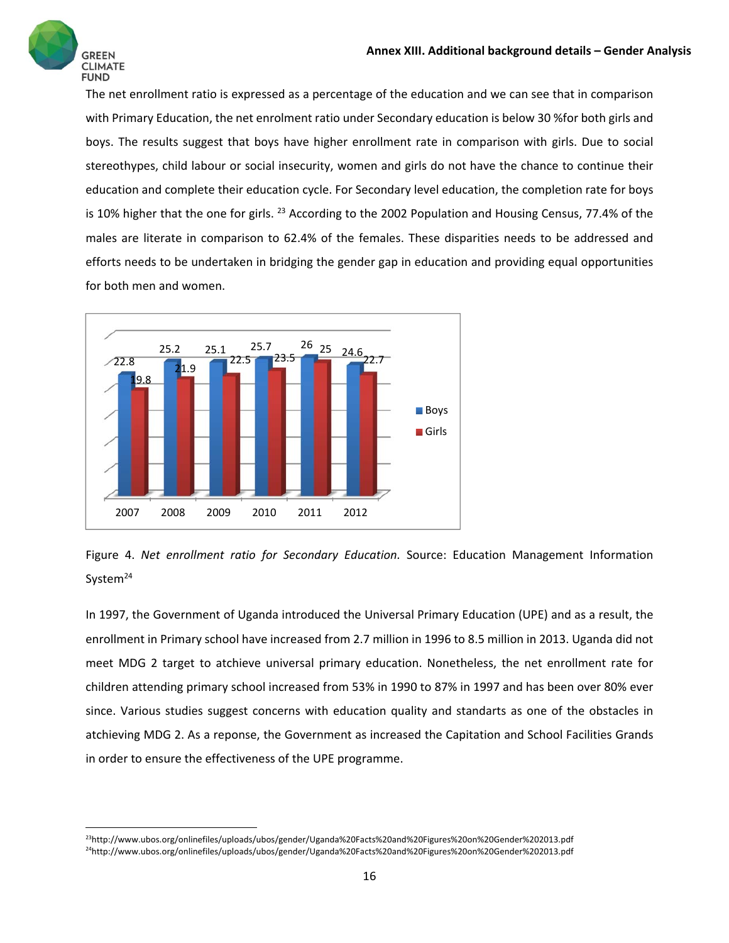

The net enrollment ratio is expressed as a percentage of the education and we can see that in comparison with Primary Education, the net enrolment ratio under Secondary education is below 30 %for both girls and boys. The results suggest that boys have higher enrollment rate in comparison with girls. Due to social stereothypes, child labour or social insecurity, women and girls do not have the chance to continue their education and complete their education cycle. For Secondary level education, the completion rate for boys is 10% higher that the one for girls. <sup>23</sup> According to the 2002 Population and Housing Census, 77.4% of the males are literate in comparison to 62.4% of the females. These disparities needs to be addressed and efforts needs to be undertaken in bridging the gender gap in education and providing equal opportunities for both men and women.





In 1997, the Government of Uganda introduced the Universal Primary Education (UPE) and as a result, the enrollment in Primary school have increased from 2.7 million in 1996 to 8.5 million in 2013. Uganda did not meet MDG 2 target to atchieve universal primary education. Nonetheless, the net enrollment rate for children attending primary school increased from 53% in 1990 to 87% in 1997 and has been over 80% ever since. Various studies suggest concerns with education quality and standarts as one of the obstacles in atchieving MDG 2. As a reponse, the Government as increased the Capitation and School Facilities Grands in order to ensure the effectiveness of the UPE programme.

<sup>23</sup>http://www.ubos.org/onlinefiles/uploads/ubos/gender/Uganda%20Facts%20and%20Figures%20on%20Gender%202013.pdf 24http://www.ubos.org/onlinefiles/uploads/ubos/gender/Uganda%20Facts%20and%20Figures%20on%20Gender%202013.pdf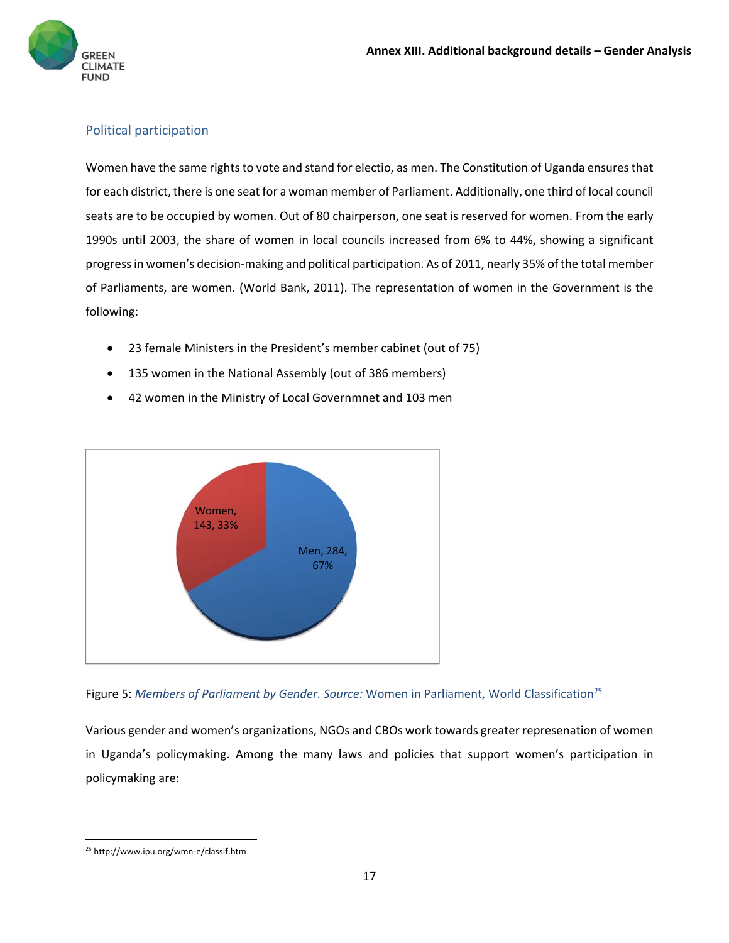

#### Political participation

Women have the same rights to vote and stand for electio, as men. The Constitution of Uganda ensuresthat for each district, there is one seat for a woman member of Parliament. Additionally, one third of local council seats are to be occupied by women. Out of 80 chairperson, one seat is reserved for women. From the early 1990s until 2003, the share of women in local councils increased from 6% to 44%, showing a significant progressin women's decision‐making and political participation. As of 2011, nearly 35% of the total member of Parliaments, are women. (World Bank, 2011). The representation of women in the Government is the following:

- 23 female Ministers in the President's member cabinet (out of 75)
- 135 women in the National Assembly (out of 386 members)
- 42 women in the Ministry of Local Governmnet and 103 men



Figure 5: *Members of Parliament by Gender. Source:* Women in Parliament, World Classification25

Various gender and women's organizations, NGOs and CBOs work towards greater represenation of women in Uganda's policymaking. Among the many laws and policies that support women's participation in policymaking are:

 <sup>25</sup> http://www.ipu.org/wmn‐e/classif.htm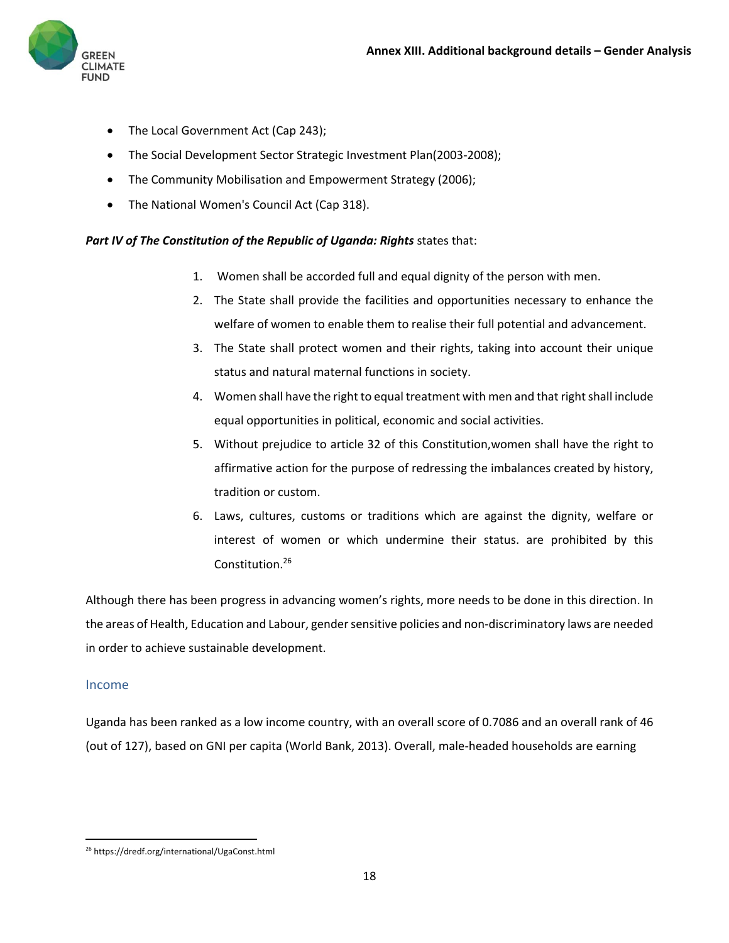

- The Local Government Act (Cap 243);
- The Social Development Sector Strategic Investment Plan(2003‐2008);
- The Community Mobilisation and Empowerment Strategy (2006);
- The National Women's Council Act (Cap 318).

#### *Part IV of The Constitution of the Republic of Uganda: Rights* states that:

- 1. Women shall be accorded full and equal dignity of the person with men.
- 2. The State shall provide the facilities and opportunities necessary to enhance the welfare of women to enable them to realise their full potential and advancement.
- 3. The State shall protect women and their rights, taking into account their unique status and natural maternal functions in society.
- 4. Women shall have the right to equal treatment with men and that right shall include equal opportunities in political, economic and social activities.
- 5. Without prejudice to article 32 of this Constitution,women shall have the right to affirmative action for the purpose of redressing the imbalances created by history, tradition or custom.
- 6. Laws, cultures, customs or traditions which are against the dignity, welfare or interest of women or which undermine their status. are prohibited by this Constitution.26

Although there has been progress in advancing women's rights, more needs to be done in this direction. In the areas of Health, Education and Labour, gender sensitive policies and non-discriminatory laws are needed in order to achieve sustainable development.

#### Income

Uganda has been ranked as a low income country, with an overall score of 0.7086 and an overall rank of 46 (out of 127), based on GNI per capita (World Bank, 2013). Overall, male‐headed households are earning

 <sup>26</sup> https://dredf.org/international/UgaConst.html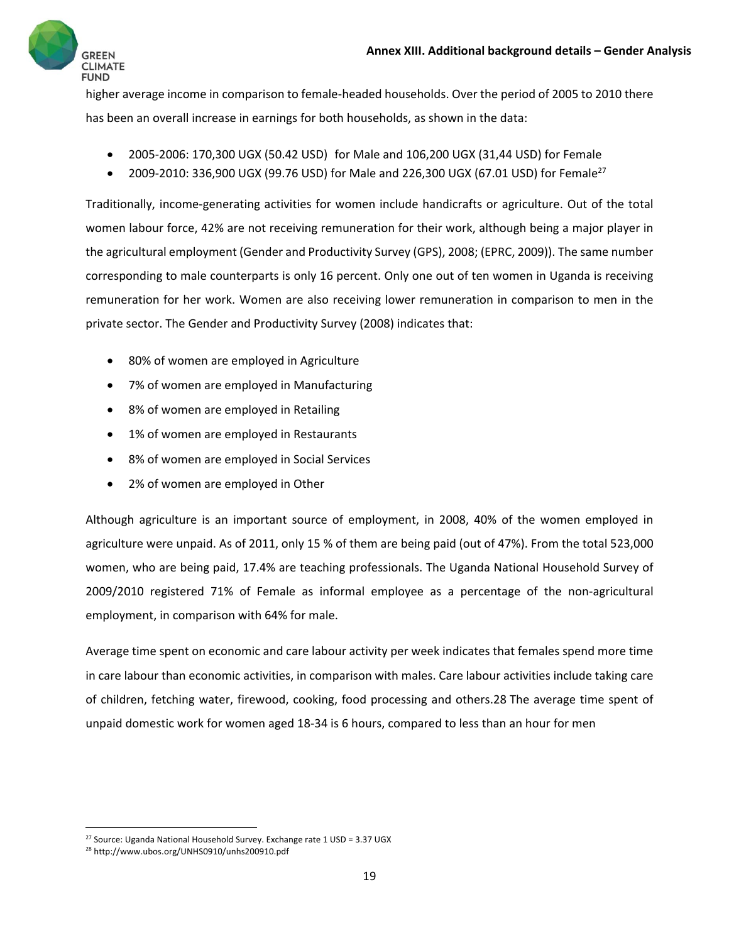

higher average income in comparison to female‐headed households. Over the period of 2005 to 2010 there has been an overall increase in earnings for both households, as shown in the data:

- 2005‐2006: 170,300 UGX (50.42 USD) for Male and 106,200 UGX (31,44 USD) for Female
- 2009-2010: 336,900 UGX (99.76 USD) for Male and 226,300 UGX (67.01 USD) for Female<sup>27</sup>

Traditionally, income‐generating activities for women include handicrafts or agriculture. Out of the total women labour force, 42% are not receiving remuneration for their work, although being a major player in the agricultural employment (Gender and Productivity Survey (GPS), 2008; (EPRC, 2009)). The same number corresponding to male counterparts is only 16 percent. Only one out of ten women in Uganda is receiving remuneration for her work. Women are also receiving lower remuneration in comparison to men in the private sector. The Gender and Productivity Survey (2008) indicates that:

- 80% of women are employed in Agriculture
- 7% of women are employed in Manufacturing
- 8% of women are employed in Retailing
- 1% of women are employed in Restaurants
- 8% of women are employed in Social Services
- 2% of women are employed in Other

Although agriculture is an important source of employment, in 2008, 40% of the women employed in agriculture were unpaid. As of 2011, only 15 % of them are being paid (out of 47%). From the total 523,000 women, who are being paid, 17.4% are teaching professionals. The Uganda National Household Survey of 2009/2010 registered 71% of Female as informal employee as a percentage of the non‐agricultural employment, in comparison with 64% for male.

Average time spent on economic and care labour activity per week indicates that females spend more time in care labour than economic activities, in comparison with males. Care labour activities include taking care of children, fetching water, firewood, cooking, food processing and others.28 The average time spent of unpaid domestic work for women aged 18‐34 is 6 hours, compared to less than an hour for men

 <sup>27</sup> Source: Uganda National Household Survey. Exchange rate 1 USD = 3.37 UGX

<sup>28</sup> http://www.ubos.org/UNHS0910/unhs200910.pdf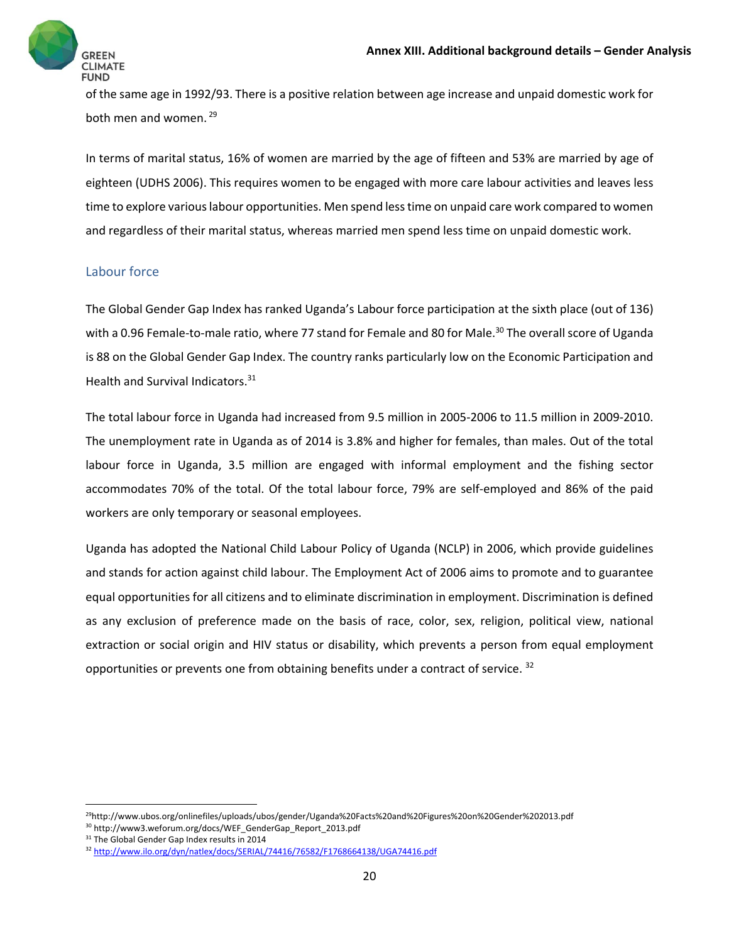

of the same age in 1992/93. There is a positive relation between age increase and unpaid domestic work for both men and women. <sup>29</sup>

In terms of marital status, 16% of women are married by the age of fifteen and 53% are married by age of eighteen (UDHS 2006). This requires women to be engaged with more care labour activities and leaves less time to explore variouslabour opportunities. Men spend lesstime on unpaid care work compared to women and regardless of their marital status, whereas married men spend less time on unpaid domestic work.

#### Labour force

The Global Gender Gap Index has ranked Uganda's Labour force participation at the sixth place (out of 136) with a 0.96 Female-to-male ratio, where 77 stand for Female and 80 for Male.<sup>30</sup> The overall score of Uganda is 88 on the Global Gender Gap Index. The country ranks particularly low on the Economic Participation and Health and Survival Indicators.<sup>31</sup>

The total labour force in Uganda had increased from 9.5 million in 2005‐2006 to 11.5 million in 2009‐2010. The unemployment rate in Uganda as of 2014 is 3.8% and higher for females, than males. Out of the total labour force in Uganda, 3.5 million are engaged with informal employment and the fishing sector accommodates 70% of the total. Of the total labour force, 79% are self-employed and 86% of the paid workers are only temporary or seasonal employees.

Uganda has adopted the National Child Labour Policy of Uganda (NCLP) in 2006, which provide guidelines and stands for action against child labour. The Employment Act of 2006 aims to promote and to guarantee equal opportunities for all citizens and to eliminate discrimination in employment. Discrimination is defined as any exclusion of preference made on the basis of race, color, sex, religion, political view, national extraction or social origin and HIV status or disability, which prevents a person from equal employment opportunities or prevents one from obtaining benefits under a contract of service. <sup>32</sup>

<sup>29</sup>http://www.ubos.org/onlinefiles/uploads/ubos/gender/Uganda%20Facts%20and%20Figures%20on%20Gender%202013.pdf

<sup>30</sup> http://www3.weforum.org/docs/WEF\_GenderGap\_Report\_2013.pdf

<sup>&</sup>lt;sup>31</sup> The Global Gender Gap Index results in 2014

<sup>32</sup> http://www.ilo.org/dyn/natlex/docs/SERIAL/74416/76582/F1768664138/UGA74416.pdf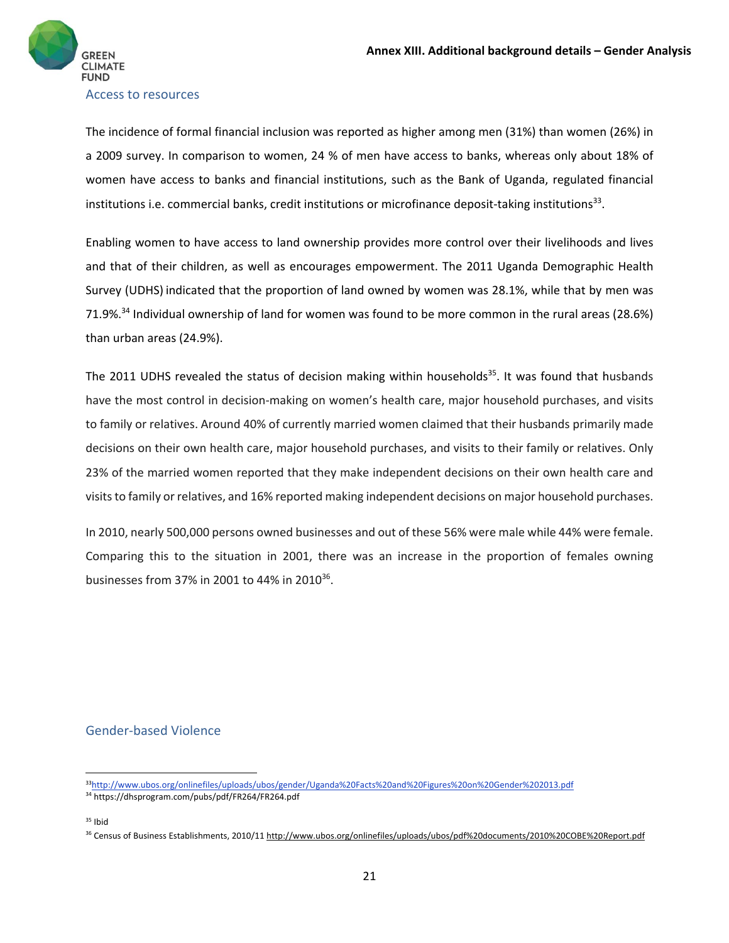

Access to resources

The incidence of formal financial inclusion was reported as higher among men (31%) than women (26%) in a 2009 survey. In comparison to women, 24 % of men have access to banks, whereas only about 18% of women have access to banks and financial institutions, such as the Bank of Uganda, regulated financial institutions i.e. commercial banks, credit institutions or microfinance deposit-taking institutions<sup>33</sup>.

Enabling women to have access to land ownership provides more control over their livelihoods and lives and that of their children, as well as encourages empowerment. The 2011 Uganda Demographic Health Survey (UDHS) indicated that the proportion of land owned by women was 28.1%, while that by men was 71.9%.34 Individual ownership of land for women was found to be more common in the rural areas (28.6%) than urban areas (24.9%).

The 2011 UDHS revealed the status of decision making within households<sup>35</sup>. It was found that husbands have the most control in decision-making on women's health care, major household purchases, and visits to family or relatives. Around 40% of currently married women claimed that their husbands primarily made decisions on their own health care, major household purchases, and visits to their family or relatives. Only 23% of the married women reported that they make independent decisions on their own health care and visitsto family or relatives, and 16% reported making independent decisions on major household purchases.

In 2010, nearly 500,000 persons owned businesses and out of these 56% were male while 44% were female. Comparing this to the situation in 2001, there was an increase in the proportion of females owning businesses from 37% in 2001 to 44% in 2010<sup>36</sup>.

#### Gender‐based Violence

<sup>33</sup>http://www.ubos.org/onlinefiles/uploads/ubos/gender/Uganda%20Facts%20and%20Figures%20on%20Gender%202013.pdf

<sup>34</sup> https://dhsprogram.com/pubs/pdf/FR264/FR264.pdf

 $35$  Ibid

<sup>&</sup>lt;sup>36</sup> Census of Business Establishments, 2010/11 http://www.ubos.org/onlinefiles/uploads/ubos/pdf%20documents/2010%20COBE%20Report.pdf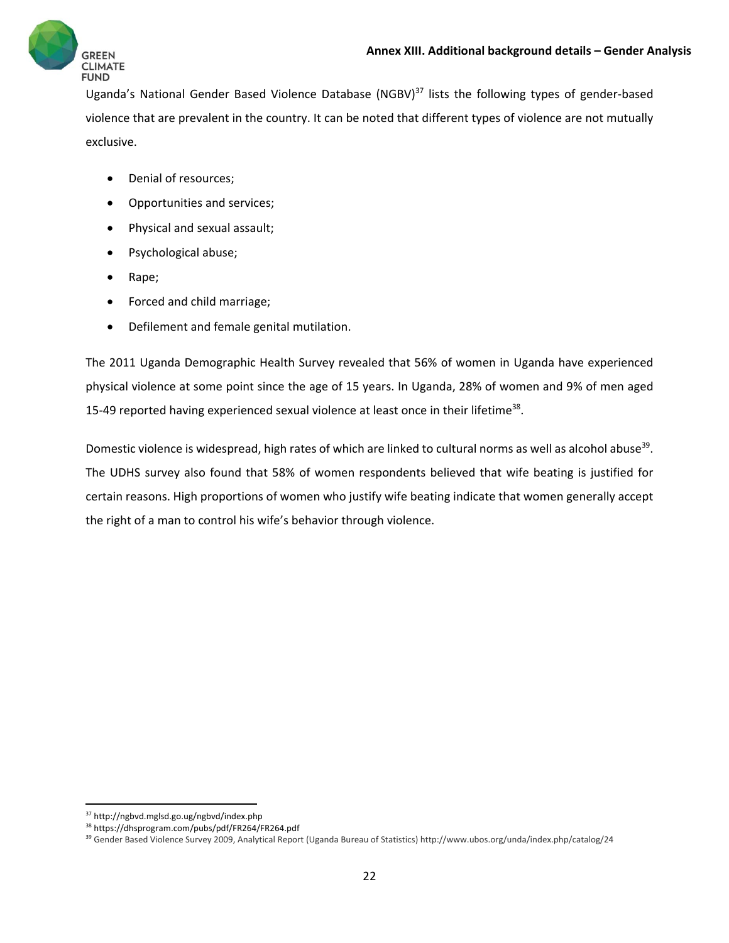

Uganda's National Gender Based Violence Database (NGBV)<sup>37</sup> lists the following types of gender-based violence that are prevalent in the country. It can be noted that different types of violence are not mutually exclusive.

- Denial of resources;
- Opportunities and services;
- Physical and sexual assault;
- Psychological abuse;
- Rape;
- Forced and child marriage;
- Defilement and female genital mutilation.

The 2011 Uganda Demographic Health Survey revealed that 56% of women in Uganda have experienced physical violence at some point since the age of 15 years. In Uganda, 28% of women and 9% of men aged 15-49 reported having experienced sexual violence at least once in their lifetime<sup>38</sup>.

Domestic violence is widespread, high rates of which are linked to cultural norms as well as alcohol abuse<sup>39</sup>. The UDHS survey also found that 58% of women respondents believed that wife beating is justified for certain reasons. High proportions of women who justify wife beating indicate that women generally accept the right of a man to control his wife's behavior through violence.

 <sup>37</sup> http://ngbvd.mglsd.go.ug/ngbvd/index.php

<sup>38</sup> https://dhsprogram.com/pubs/pdf/FR264/FR264.pdf

<sup>39</sup> Gender Based Violence Survey 2009, Analytical Report (Uganda Bureau of Statistics) http://www.ubos.org/unda/index.php/catalog/24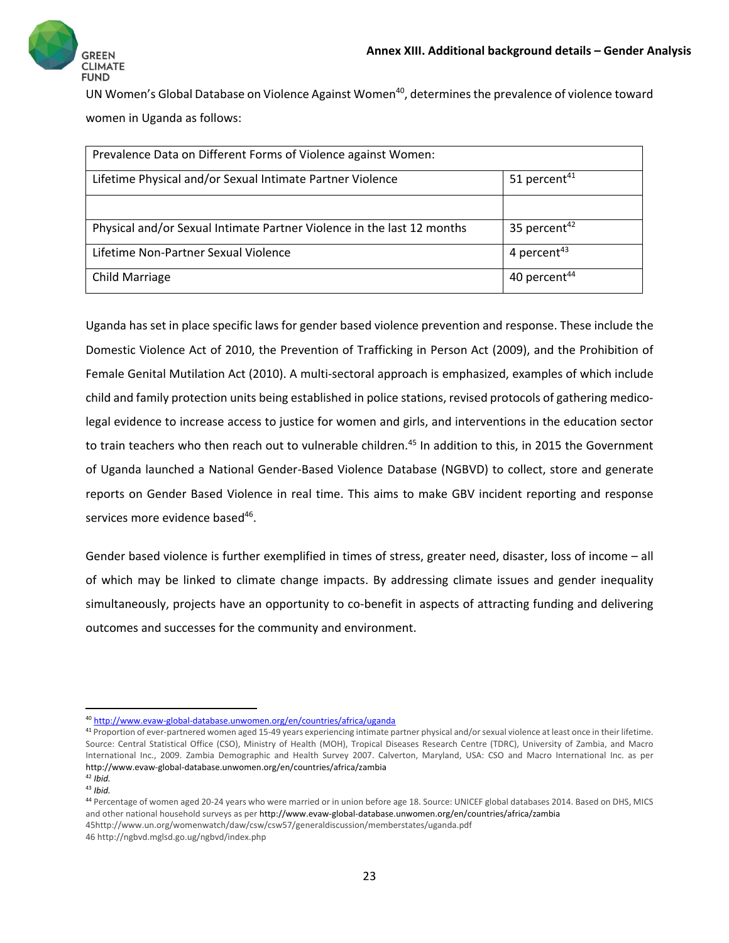

UN Women's Global Database on Violence Against Women<sup>40</sup>, determines the prevalence of violence toward women in Uganda as follows:

| Prevalence Data on Different Forms of Violence against Women:          |                          |
|------------------------------------------------------------------------|--------------------------|
| Lifetime Physical and/or Sexual Intimate Partner Violence              | 51 percent <sup>41</sup> |
|                                                                        |                          |
| Physical and/or Sexual Intimate Partner Violence in the last 12 months | 35 percent <sup>42</sup> |
| Lifetime Non-Partner Sexual Violence                                   | 4 percent $43$           |
| Child Marriage                                                         | 40 percent <sup>44</sup> |

Uganda has set in place specific laws for gender based violence prevention and response. These include the Domestic Violence Act of 2010, the Prevention of Trafficking in Person Act (2009), and the Prohibition of Female Genital Mutilation Act (2010). A multi‐sectoral approach is emphasized, examples of which include child and family protection units being established in police stations, revised protocols of gathering medico‐ legal evidence to increase access to justice for women and girls, and interventions in the education sector to train teachers who then reach out to vulnerable children.<sup>45</sup> In addition to this, in 2015 the Government of Uganda launched a National Gender‐Based Violence Database (NGBVD) to collect, store and generate reports on Gender Based Violence in real time. This aims to make GBV incident reporting and response services more evidence based<sup>46</sup>.

Gender based violence is further exemplified in times of stress, greater need, disaster, loss of income – all of which may be linked to climate change impacts. By addressing climate issues and gender inequality simultaneously, projects have an opportunity to co-benefit in aspects of attracting funding and delivering outcomes and successes for the community and environment.

<sup>40</sup> http://www.evaw‐global‐database.unwomen.org/en/countries/africa/uganda

<sup>&</sup>lt;sup>41</sup> Proportion of ever-partnered women aged 15-49 years experiencing intimate partner physical and/or sexual violence at least once in their lifetime. Source: Central Statistical Office (CSO), Ministry of Health (MOH), Tropical Diseases Research Centre (TDRC), University of Zambia, and Macro International Inc., 2009. Zambia Demographic and Health Survey 2007. Calverton, Maryland, USA: CSO and Macro International Inc. as per http://www.evaw‐global‐database.unwomen.org/en/countries/africa/zambia

<sup>42</sup> *Ibid.*

<sup>43</sup> *Ibid.*

<sup>44</sup> Percentage of women aged 20‐24 years who were married or in union before age 18. Source: UNICEF global databases 2014. Based on DHS, MICS and other national household surveys as per http://www.evaw‐global‐database.unwomen.org/en/countries/africa/zambia 45http://www.un.org/womenwatch/daw/csw/csw57/generaldiscussion/memberstates/uganda.pdf

<sup>46</sup> http://ngbvd.mglsd.go.ug/ngbvd/index.php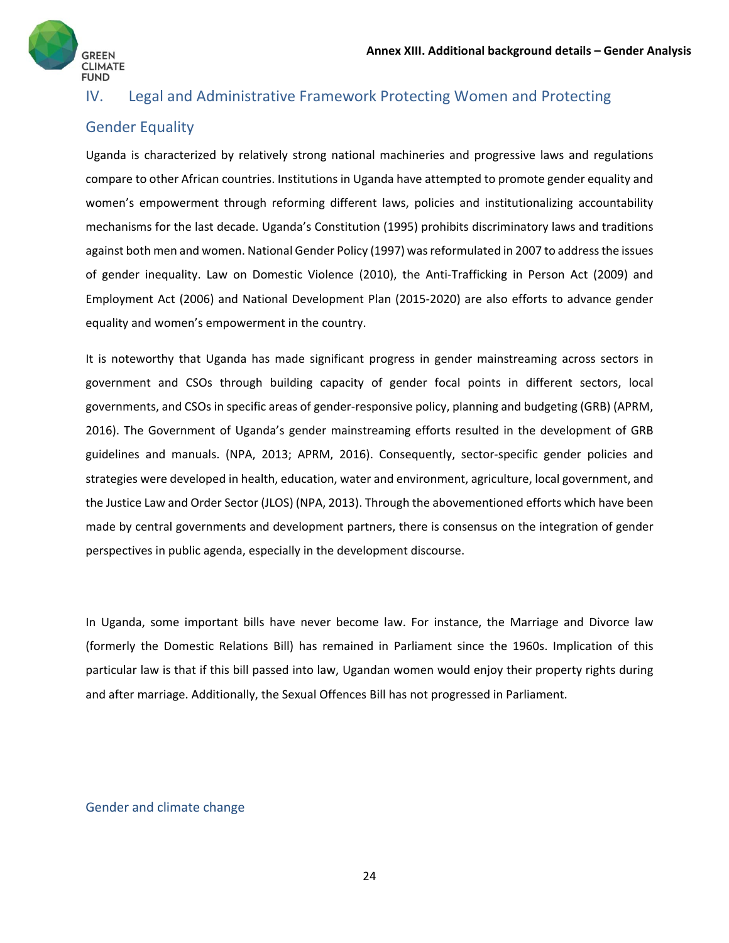

### IV. Legal and Administrative Framework Protecting Women and Protecting

# Gender Equality

Uganda is characterized by relatively strong national machineries and progressive laws and regulations compare to other African countries. Institutions in Uganda have attempted to promote gender equality and women's empowerment through reforming different laws, policies and institutionalizing accountability mechanisms for the last decade. Uganda's Constitution (1995) prohibits discriminatory laws and traditions against both men and women. National Gender Policy (1997) wasreformulated in 2007 to addressthe issues of gender inequality. Law on Domestic Violence (2010), the Anti-Trafficking in Person Act (2009) and Employment Act (2006) and National Development Plan (2015‐2020) are also efforts to advance gender equality and women's empowerment in the country.

It is noteworthy that Uganda has made significant progress in gender mainstreaming across sectors in government and CSOs through building capacity of gender focal points in different sectors, local governments, and CSOs in specific areas of gender‐responsive policy, planning and budgeting (GRB) (APRM, 2016). The Government of Uganda's gender mainstreaming efforts resulted in the development of GRB guidelines and manuals. (NPA, 2013; APRM, 2016). Consequently, sector-specific gender policies and strategies were developed in health, education, water and environment, agriculture, local government, and the Justice Law and Order Sector (JLOS) (NPA, 2013). Through the abovementioned efforts which have been made by central governments and development partners, there is consensus on the integration of gender perspectives in public agenda, especially in the development discourse.

In Uganda, some important bills have never become law. For instance, the Marriage and Divorce law (formerly the Domestic Relations Bill) has remained in Parliament since the 1960s. Implication of this particular law is that if this bill passed into law, Ugandan women would enjoy their property rights during and after marriage. Additionally, the Sexual Offences Bill has not progressed in Parliament.

#### Gender and climate change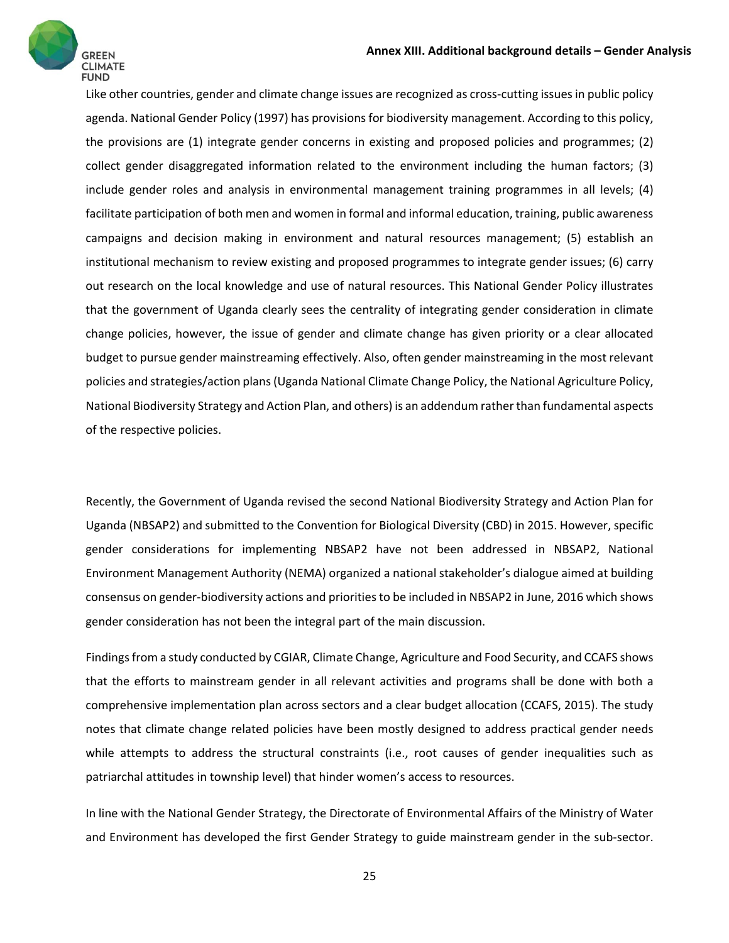Like other countries, gender and climate change issues are recognized as cross-cutting issues in public policy agenda. National Gender Policy (1997) has provisions for biodiversity management. According to this policy, the provisions are (1) integrate gender concerns in existing and proposed policies and programmes; (2) collect gender disaggregated information related to the environment including the human factors; (3) include gender roles and analysis in environmental management training programmes in all levels; (4) facilitate participation of both men and women in formal and informal education, training, public awareness campaigns and decision making in environment and natural resources management; (5) establish an institutional mechanism to review existing and proposed programmes to integrate gender issues; (6) carry out research on the local knowledge and use of natural resources. This National Gender Policy illustrates that the government of Uganda clearly sees the centrality of integrating gender consideration in climate change policies, however, the issue of gender and climate change has given priority or a clear allocated budget to pursue gender mainstreaming effectively. Also, often gender mainstreaming in the most relevant policies and strategies/action plans(Uganda National Climate Change Policy, the National Agriculture Policy, National Biodiversity Strategy and Action Plan, and others) is an addendum ratherthan fundamental aspects of the respective policies.

Recently, the Government of Uganda revised the second National Biodiversity Strategy and Action Plan for Uganda (NBSAP2) and submitted to the Convention for Biological Diversity (CBD) in 2015. However, specific gender considerations for implementing NBSAP2 have not been addressed in NBSAP2, National Environment Management Authority (NEMA) organized a national stakeholder's dialogue aimed at building consensus on gender‐biodiversity actions and prioritiesto be included in NBSAP2 in June, 2016 which shows gender consideration has not been the integral part of the main discussion.

Findingsfrom a study conducted by CGIAR, Climate Change, Agriculture and Food Security, and CCAFS shows that the efforts to mainstream gender in all relevant activities and programs shall be done with both a comprehensive implementation plan across sectors and a clear budget allocation (CCAFS, 2015). The study notes that climate change related policies have been mostly designed to address practical gender needs while attempts to address the structural constraints (i.e., root causes of gender inequalities such as patriarchal attitudes in township level) that hinder women's access to resources.

In line with the National Gender Strategy, the Directorate of Environmental Affairs of the Ministry of Water and Environment has developed the first Gender Strategy to guide mainstream gender in the sub‐sector.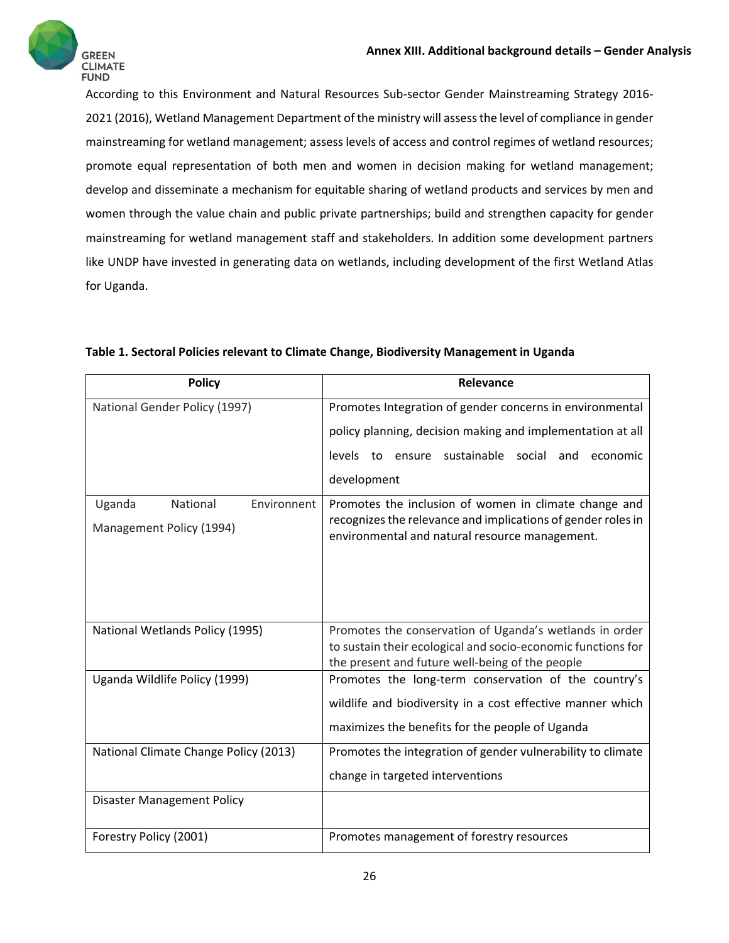

According to this Environment and Natural Resources Sub‐sector Gender Mainstreaming Strategy 2016‐ 2021 (2016), Wetland Management Department of the ministry will assessthe level of compliance in gender mainstreaming for wetland management; assess levels of access and control regimes of wetland resources; promote equal representation of both men and women in decision making for wetland management; develop and disseminate a mechanism for equitable sharing of wetland products and services by men and women through the value chain and public private partnerships; build and strengthen capacity for gender mainstreaming for wetland management staff and stakeholders. In addition some development partners like UNDP have invested in generating data on wetlands, including development of the first Wetland Atlas for Uganda.

| <b>Policy</b>                         | Relevance                                                                                                       |
|---------------------------------------|-----------------------------------------------------------------------------------------------------------------|
| National Gender Policy (1997)         | Promotes Integration of gender concerns in environmental                                                        |
|                                       | policy planning, decision making and implementation at all                                                      |
|                                       | levels to ensure sustainable social and<br>economic                                                             |
|                                       | development                                                                                                     |
| Environnent<br>Uganda<br>National     | Promotes the inclusion of women in climate change and                                                           |
| Management Policy (1994)              | recognizes the relevance and implications of gender roles in<br>environmental and natural resource management.  |
|                                       |                                                                                                                 |
|                                       |                                                                                                                 |
| National Wetlands Policy (1995)       | Promotes the conservation of Uganda's wetlands in order                                                         |
|                                       | to sustain their ecological and socio-economic functions for<br>the present and future well-being of the people |
| Uganda Wildlife Policy (1999)         | Promotes the long-term conservation of the country's                                                            |
|                                       | wildlife and biodiversity in a cost effective manner which                                                      |
|                                       | maximizes the benefits for the people of Uganda                                                                 |
| National Climate Change Policy (2013) | Promotes the integration of gender vulnerability to climate                                                     |
|                                       | change in targeted interventions                                                                                |
| <b>Disaster Management Policy</b>     |                                                                                                                 |
| Forestry Policy (2001)                | Promotes management of forestry resources                                                                       |

**Table 1. Sectoral Policies relevant to Climate Change, Biodiversity Management in Uganda**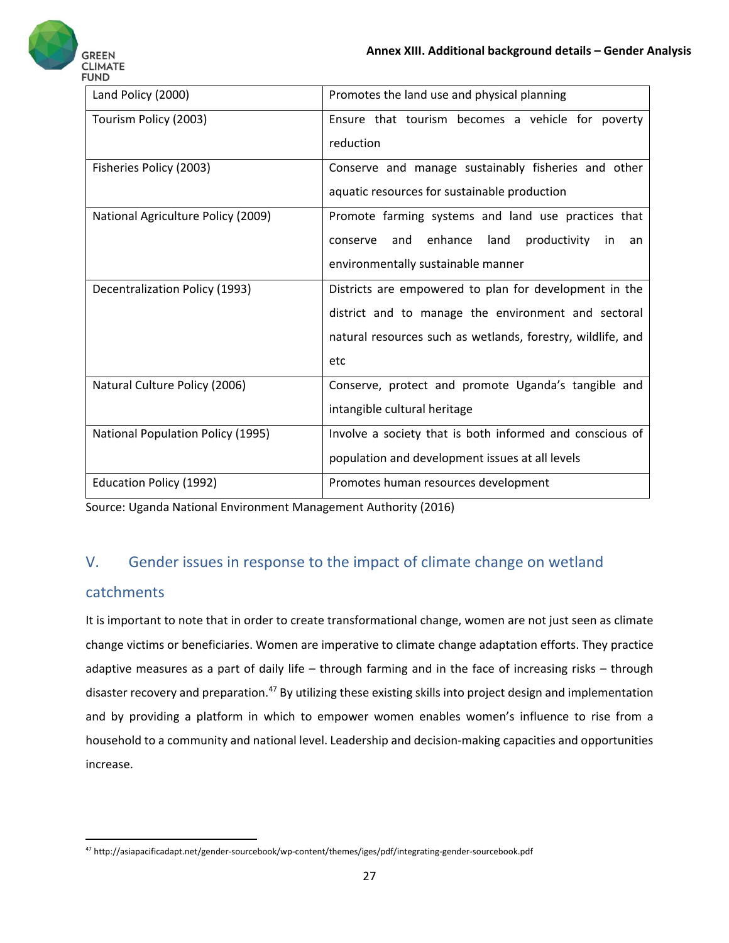

| Land Policy (2000)                 | Promotes the land use and physical planning                     |
|------------------------------------|-----------------------------------------------------------------|
| Tourism Policy (2003)              | Ensure that tourism becomes a vehicle for poverty               |
|                                    | reduction                                                       |
| Fisheries Policy (2003)            | Conserve and manage sustainably fisheries and other             |
|                                    | aquatic resources for sustainable production                    |
| National Agriculture Policy (2009) | Promote farming systems and land use practices that             |
|                                    | enhance<br>land<br>productivity<br>and<br>conserve<br>in.<br>an |
|                                    | environmentally sustainable manner                              |
| Decentralization Policy (1993)     | Districts are empowered to plan for development in the          |
|                                    | district and to manage the environment and sectoral             |
|                                    | natural resources such as wetlands, forestry, wildlife, and     |
|                                    | etc                                                             |
| Natural Culture Policy (2006)      | Conserve, protect and promote Uganda's tangible and             |
|                                    | intangible cultural heritage                                    |
| National Population Policy (1995)  | Involve a society that is both informed and conscious of        |
|                                    | population and development issues at all levels                 |
| Education Policy (1992)            | Promotes human resources development                            |

Source: Uganda National Environment Management Authority (2016)

# V. Gender issues in response to the impact of climate change on wetland

#### catchments

It is important to note that in order to create transformational change, women are not just seen as climate change victims or beneficiaries. Women are imperative to climate change adaptation efforts. They practice adaptive measures as a part of daily life – through farming and in the face of increasing risks – through disaster recovery and preparation.<sup>47</sup> By utilizing these existing skills into project design and implementation and by providing a platform in which to empower women enables women's influence to rise from a household to a community and national level. Leadership and decision‐making capacities and opportunities increase.

<sup>47</sup> http://asiapacificadapt.net/gender‐sourcebook/wp‐content/themes/iges/pdf/integrating‐gender‐sourcebook.pdf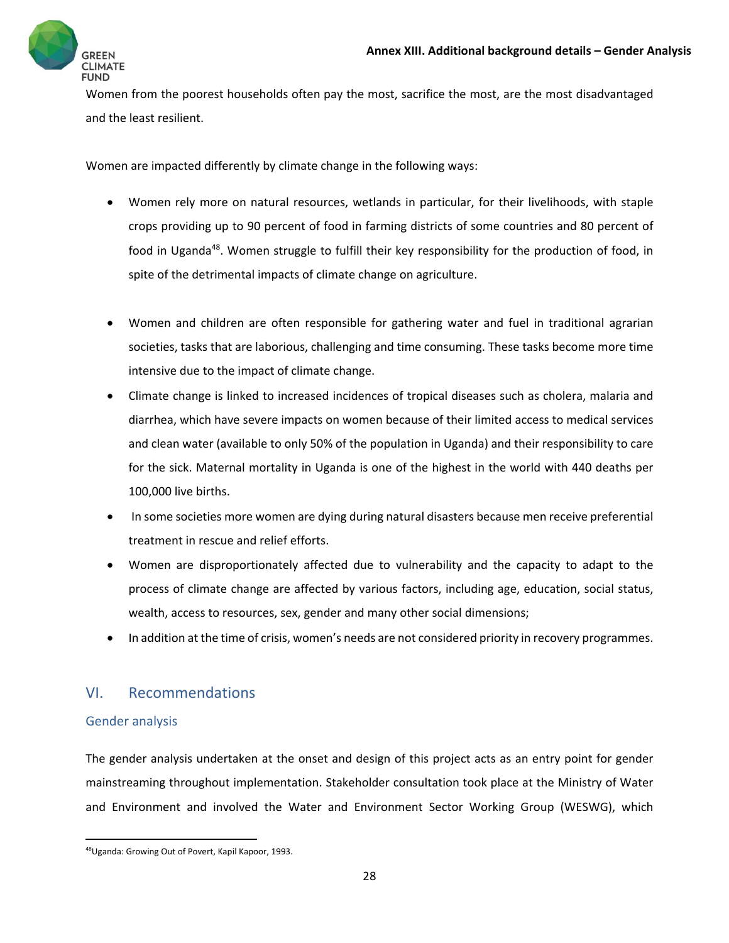

Women from the poorest households often pay the most, sacrifice the most, are the most disadvantaged and the least resilient.

Women are impacted differently by climate change in the following ways:

- Women rely more on natural resources, wetlands in particular, for their livelihoods, with staple crops providing up to 90 percent of food in farming districts of some countries and 80 percent of food in Uganda<sup>48</sup>. Women struggle to fulfill their key responsibility for the production of food, in spite of the detrimental impacts of climate change on agriculture.
- Women and children are often responsible for gathering water and fuel in traditional agrarian societies, tasks that are laborious, challenging and time consuming. These tasks become more time intensive due to the impact of climate change.
- Climate change is linked to increased incidences of tropical diseases such as cholera, malaria and diarrhea, which have severe impacts on women because of their limited access to medical services and clean water (available to only 50% of the population in Uganda) and their responsibility to care for the sick. Maternal mortality in Uganda is one of the highest in the world with 440 deaths per 100,000 live births.
- In some societies more women are dying during natural disasters because men receive preferential treatment in rescue and relief efforts.
- Women are disproportionately affected due to vulnerability and the capacity to adapt to the process of climate change are affected by various factors, including age, education, social status, wealth, access to resources, sex, gender and many other social dimensions;
- In addition at the time of crisis, women's needs are not considered priority in recovery programmes.

### VI. Recommendations

#### Gender analysis

The gender analysis undertaken at the onset and design of this project acts as an entry point for gender mainstreaming throughout implementation. Stakeholder consultation took place at the Ministry of Water and Environment and involved the Water and Environment Sector Working Group (WESWG), which

 48Uganda: Growing Out of Povert, Kapil Kapoor, 1993.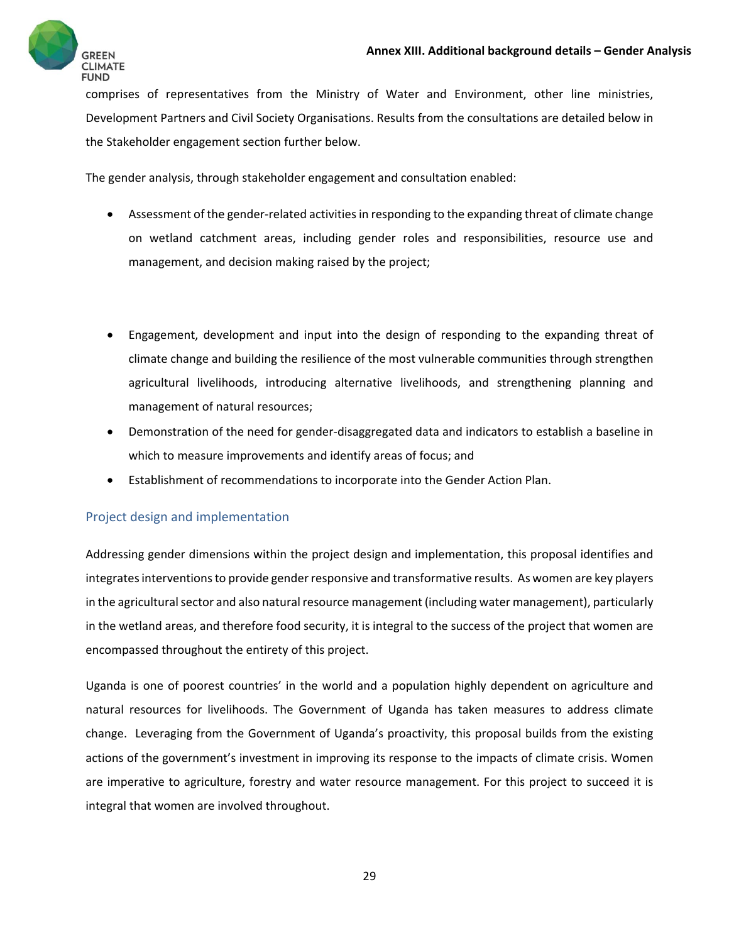

comprises of representatives from the Ministry of Water and Environment, other line ministries, Development Partners and Civil Society Organisations. Results from the consultations are detailed below in the Stakeholder engagement section further below.

The gender analysis, through stakeholder engagement and consultation enabled:

- Assessment of the gender-related activities in responding to the expanding threat of climate change on wetland catchment areas, including gender roles and responsibilities, resource use and management, and decision making raised by the project;
- Engagement, development and input into the design of responding to the expanding threat of climate change and building the resilience of the most vulnerable communities through strengthen agricultural livelihoods, introducing alternative livelihoods, and strengthening planning and management of natural resources;
- Demonstration of the need for gender‐disaggregated data and indicators to establish a baseline in which to measure improvements and identify areas of focus; and
- Establishment of recommendations to incorporate into the Gender Action Plan.

#### Project design and implementation

Addressing gender dimensions within the project design and implementation, this proposal identifies and integrates interventions to provide gender responsive and transformative results. As women are key players in the agricultural sector and also natural resource management (including water management), particularly in the wetland areas, and therefore food security, it is integral to the success of the project that women are encompassed throughout the entirety of this project.

Uganda is one of poorest countries' in the world and a population highly dependent on agriculture and natural resources for livelihoods. The Government of Uganda has taken measures to address climate change. Leveraging from the Government of Uganda's proactivity, this proposal builds from the existing actions of the government's investment in improving its response to the impacts of climate crisis. Women are imperative to agriculture, forestry and water resource management. For this project to succeed it is integral that women are involved throughout.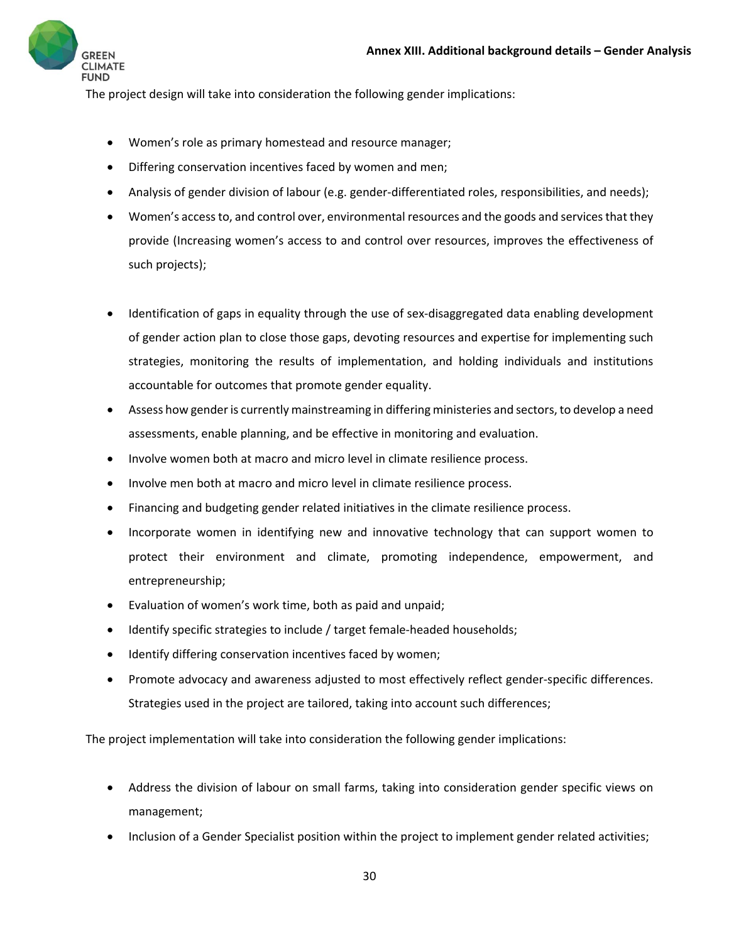

The project design will take into consideration the following gender implications:

- Women's role as primary homestead and resource manager;
- Differing conservation incentives faced by women and men;
- Analysis of gender division of labour (e.g. gender‐differentiated roles, responsibilities, and needs);
- Women's access to, and control over, environmental resources and the goods and services that they provide (Increasing women's access to and control over resources, improves the effectiveness of such projects);
- Identification of gaps in equality through the use of sex‐disaggregated data enabling development of gender action plan to close those gaps, devoting resources and expertise for implementing such strategies, monitoring the results of implementation, and holding individuals and institutions accountable for outcomes that promote gender equality.
- Assess how gender is currently mainstreaming in differing ministeries and sectors, to develop a need assessments, enable planning, and be effective in monitoring and evaluation.
- Involve women both at macro and micro level in climate resilience process.
- Involve men both at macro and micro level in climate resilience process.
- Financing and budgeting gender related initiatives in the climate resilience process.
- Incorporate women in identifying new and innovative technology that can support women to protect their environment and climate, promoting independence, empowerment, and entrepreneurship;
- Evaluation of women's work time, both as paid and unpaid;
- Identify specific strategies to include / target female-headed households;
- Identify differing conservation incentives faced by women;
- Promote advocacy and awareness adjusted to most effectively reflect gender-specific differences. Strategies used in the project are tailored, taking into account such differences;

The project implementation will take into consideration the following gender implications:

- Address the division of labour on small farms, taking into consideration gender specific views on management;
- Inclusion of a Gender Specialist position within the project to implement gender related activities;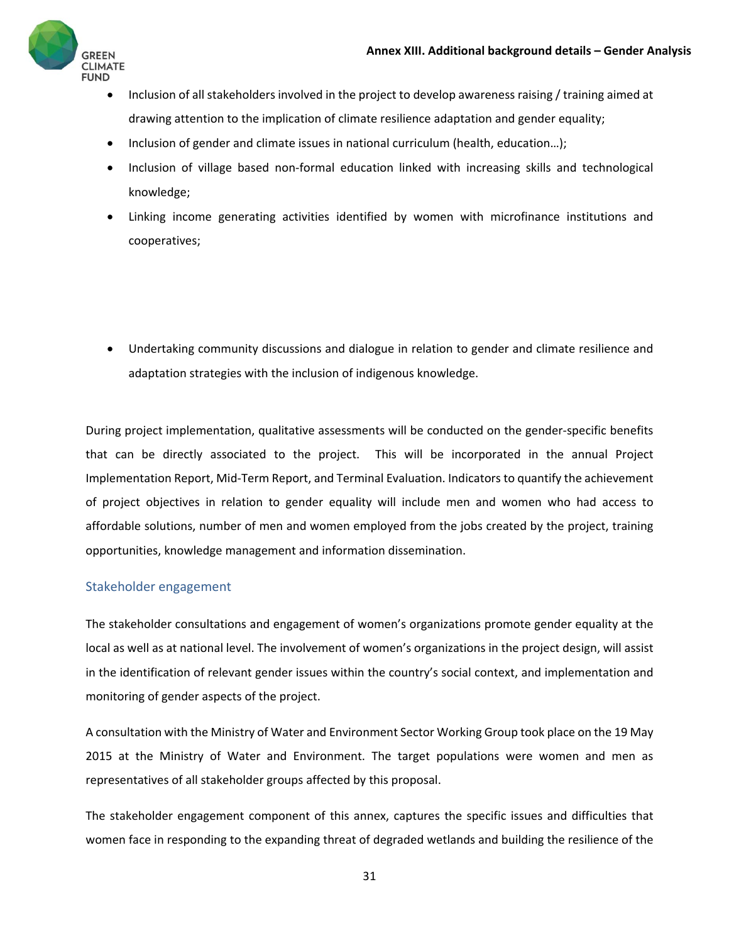

- Inclusion of all stakeholders involved in the project to develop awareness raising / training aimed at drawing attention to the implication of climate resilience adaptation and gender equality;
- Inclusion of gender and climate issues in national curriculum (health, education...);
- Inclusion of village based non-formal education linked with increasing skills and technological knowledge;
- Linking income generating activities identified by women with microfinance institutions and cooperatives;
- Undertaking community discussions and dialogue in relation to gender and climate resilience and adaptation strategies with the inclusion of indigenous knowledge.

During project implementation, qualitative assessments will be conducted on the gender‐specific benefits that can be directly associated to the project. This will be incorporated in the annual Project Implementation Report, Mid‐Term Report, and Terminal Evaluation. Indicators to quantify the achievement of project objectives in relation to gender equality will include men and women who had access to affordable solutions, number of men and women employed from the jobs created by the project, training opportunities, knowledge management and information dissemination.

#### Stakeholder engagement

The stakeholder consultations and engagement of women's organizations promote gender equality at the local as well as at national level. The involvement of women's organizations in the project design, will assist in the identification of relevant gender issues within the country's social context, and implementation and monitoring of gender aspects of the project.

A consultation with the Ministry of Water and Environment Sector Working Group took place on the 19 May 2015 at the Ministry of Water and Environment. The target populations were women and men as representatives of all stakeholder groups affected by this proposal.

The stakeholder engagement component of this annex, captures the specific issues and difficulties that women face in responding to the expanding threat of degraded wetlands and building the resilience of the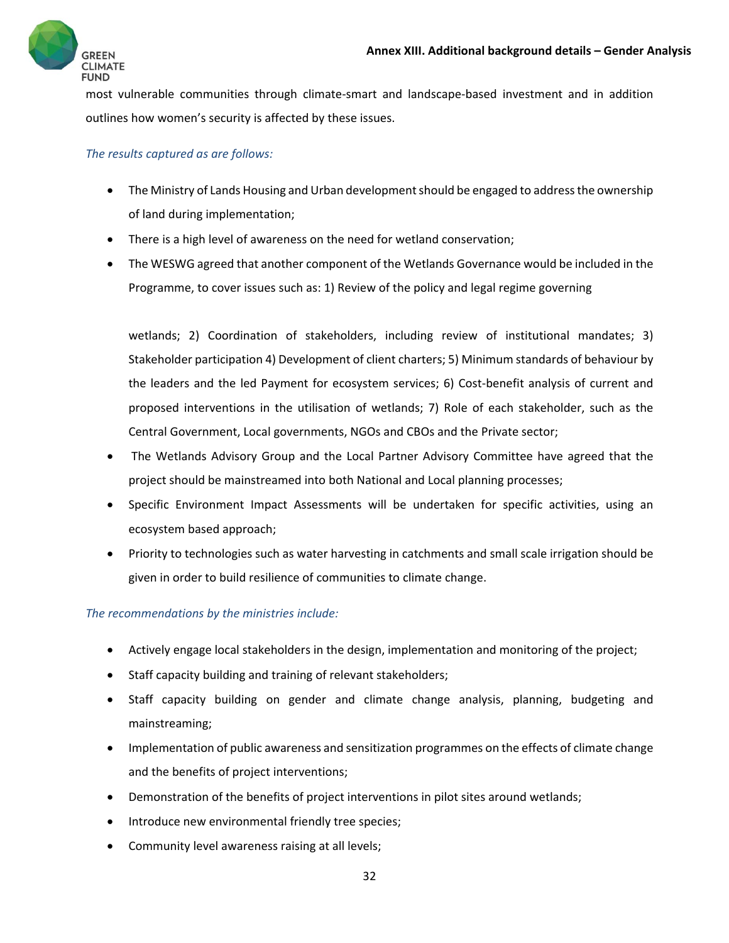

most vulnerable communities through climate‐smart and landscape‐based investment and in addition outlines how women's security is affected by these issues.

#### *The results captured as are follows:*

- The Ministry of Lands Housing and Urban development should be engaged to address the ownership of land during implementation;
- There is a high level of awareness on the need for wetland conservation;
- The WESWG agreed that another component of the Wetlands Governance would be included in the Programme, to cover issues such as: 1) Review of the policy and legal regime governing

wetlands; 2) Coordination of stakeholders, including review of institutional mandates; 3) Stakeholder participation 4) Development of client charters; 5) Minimum standards of behaviour by the leaders and the led Payment for ecosystem services; 6) Cost‐benefit analysis of current and proposed interventions in the utilisation of wetlands; 7) Role of each stakeholder, such as the Central Government, Local governments, NGOs and CBOs and the Private sector;

- The Wetlands Advisory Group and the Local Partner Advisory Committee have agreed that the project should be mainstreamed into both National and Local planning processes;
- Specific Environment Impact Assessments will be undertaken for specific activities, using an ecosystem based approach;
- Priority to technologies such as water harvesting in catchments and small scale irrigation should be given in order to build resilience of communities to climate change.

#### *The recommendations by the ministries include:*

- Actively engage local stakeholders in the design, implementation and monitoring of the project;
- Staff capacity building and training of relevant stakeholders;
- Staff capacity building on gender and climate change analysis, planning, budgeting and mainstreaming;
- Implementation of public awareness and sensitization programmes on the effects of climate change and the benefits of project interventions;
- Demonstration of the benefits of project interventions in pilot sites around wetlands;
- Introduce new environmental friendly tree species;
- Community level awareness raising at all levels;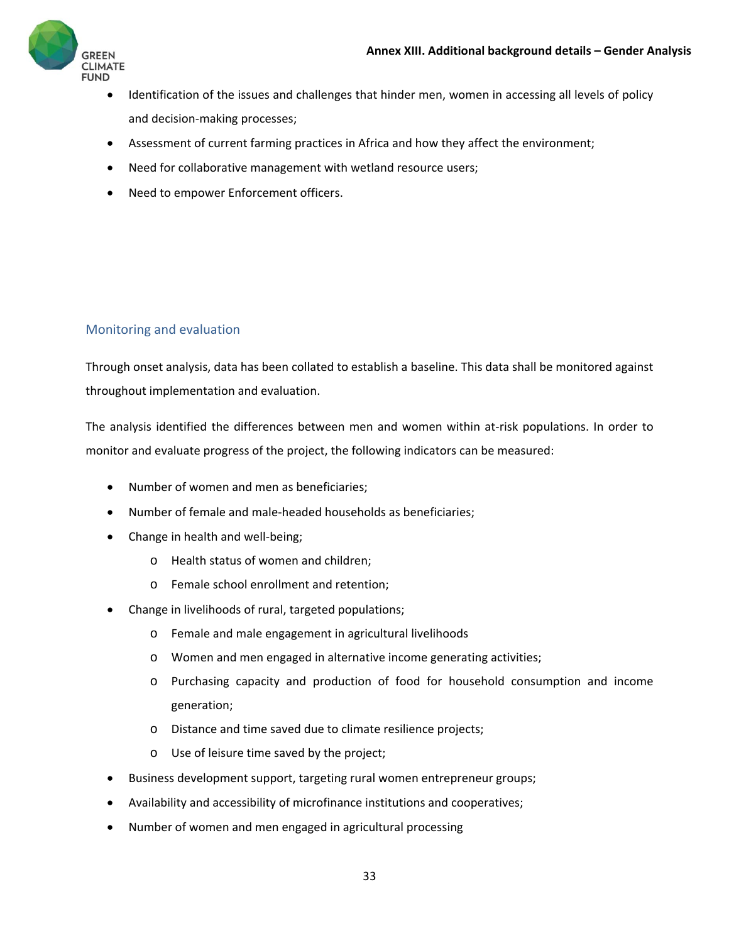

- Identification of the issues and challenges that hinder men, women in accessing all levels of policy and decision‐making processes;
- Assessment of current farming practices in Africa and how they affect the environment;
- Need for collaborative management with wetland resource users;
- Need to empower Enforcement officers.

#### Monitoring and evaluation

Through onset analysis, data has been collated to establish a baseline. This data shall be monitored against throughout implementation and evaluation.

The analysis identified the differences between men and women within at-risk populations. In order to monitor and evaluate progress of the project, the following indicators can be measured:

- Number of women and men as beneficiaries;
- Number of female and male-headed households as beneficiaries;
- Change in health and well-being;
	- o Health status of women and children;
	- o Female school enrollment and retention;
- Change in livelihoods of rural, targeted populations;
	- o Female and male engagement in agricultural livelihoods
	- o Women and men engaged in alternative income generating activities;
	- o Purchasing capacity and production of food for household consumption and income generation;
	- o Distance and time saved due to climate resilience projects;
	- o Use of leisure time saved by the project;
- Business development support, targeting rural women entrepreneur groups;
- Availability and accessibility of microfinance institutions and cooperatives;
- Number of women and men engaged in agricultural processing